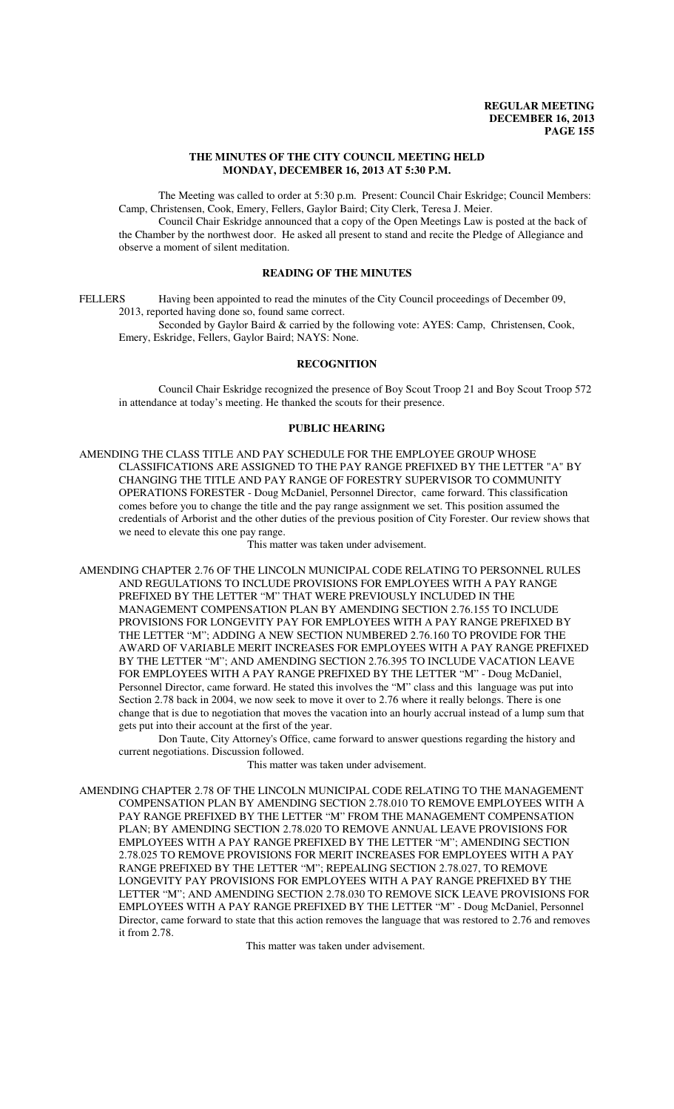#### **THE MINUTES OF THE CITY COUNCIL MEETING HELD MONDAY, DECEMBER 16, 2013 AT 5:30 P.M.**

The Meeting was called to order at 5:30 p.m. Present: Council Chair Eskridge; Council Members: Camp, Christensen, Cook, Emery, Fellers, Gaylor Baird; City Clerk, Teresa J. Meier.

Council Chair Eskridge announced that a copy of the Open Meetings Law is posted at the back of the Chamber by the northwest door. He asked all present to stand and recite the Pledge of Allegiance and observe a moment of silent meditation.

# **READING OF THE MINUTES**

FELLERS Having been appointed to read the minutes of the City Council proceedings of December 09, 2013, reported having done so, found same correct.

Seconded by Gaylor Baird & carried by the following vote: AYES: Camp, Christensen, Cook, Emery, Eskridge, Fellers, Gaylor Baird; NAYS: None.

# **RECOGNITION**

Council Chair Eskridge recognized the presence of Boy Scout Troop 21 and Boy Scout Troop 572 in attendance at today's meeting. He thanked the scouts for their presence.

#### **PUBLIC HEARING**

AMENDING THE CLASS TITLE AND PAY SCHEDULE FOR THE EMPLOYEE GROUP WHOSE CLASSIFICATIONS ARE ASSIGNED TO THE PAY RANGE PREFIXED BY THE LETTER "A" BY CHANGING THE TITLE AND PAY RANGE OF FORESTRY SUPERVISOR TO COMMUNITY OPERATIONS FORESTER - Doug McDaniel, Personnel Director, came forward. This classification comes before you to change the title and the pay range assignment we set. This position assumed the credentials of Arborist and the other duties of the previous position of City Forester. Our review shows that we need to elevate this one pay range.

This matter was taken under advisement.

AMENDING CHAPTER 2.76 OF THE LINCOLN MUNICIPAL CODE RELATING TO PERSONNEL RULES AND REGULATIONS TO INCLUDE PROVISIONS FOR EMPLOYEES WITH A PAY RANGE PREFIXED BY THE LETTER "M" THAT WERE PREVIOUSLY INCLUDED IN THE MANAGEMENT COMPENSATION PLAN BY AMENDING SECTION 2.76.155 TO INCLUDE PROVISIONS FOR LONGEVITY PAY FOR EMPLOYEES WITH A PAY RANGE PREFIXED BY THE LETTER "M"; ADDING A NEW SECTION NUMBERED 2.76.160 TO PROVIDE FOR THE AWARD OF VARIABLE MERIT INCREASES FOR EMPLOYEES WITH A PAY RANGE PREFIXED BY THE LETTER "M"; AND AMENDING SECTION 2.76.395 TO INCLUDE VACATION LEAVE FOR EMPLOYEES WITH A PAY RANGE PREFIXED BY THE LETTER "M" - Doug McDaniel, Personnel Director, came forward. He stated this involves the "M" class and this language was put into Section 2.78 back in 2004, we now seek to move it over to 2.76 where it really belongs. There is one change that is due to negotiation that moves the vacation into an hourly accrual instead of a lump sum that gets put into their account at the first of the year.

Don Taute, City Attorney's Office, came forward to answer questions regarding the history and current negotiations. Discussion followed.

This matter was taken under advisement.

AMENDING CHAPTER 2.78 OF THE LINCOLN MUNICIPAL CODE RELATING TO THE MANAGEMENT COMPENSATION PLAN BY AMENDING SECTION 2.78.010 TO REMOVE EMPLOYEES WITH A PAY RANGE PREFIXED BY THE LETTER "M" FROM THE MANAGEMENT COMPENSATION PLAN; BY AMENDING SECTION 2.78.020 TO REMOVE ANNUAL LEAVE PROVISIONS FOR EMPLOYEES WITH A PAY RANGE PREFIXED BY THE LETTER "M"; AMENDING SECTION 2.78.025 TO REMOVE PROVISIONS FOR MERIT INCREASES FOR EMPLOYEES WITH A PAY RANGE PREFIXED BY THE LETTER "M"; REPEALING SECTION 2.78.027, TO REMOVE LONGEVITY PAY PROVISIONS FOR EMPLOYEES WITH A PAY RANGE PREFIXED BY THE LETTER "M"; AND AMENDING SECTION 2.78.030 TO REMOVE SICK LEAVE PROVISIONS FOR EMPLOYEES WITH A PAY RANGE PREFIXED BY THE LETTER "M" - Doug McDaniel, Personnel Director, came forward to state that this action removes the language that was restored to 2.76 and removes it from 2.78.

This matter was taken under advisement.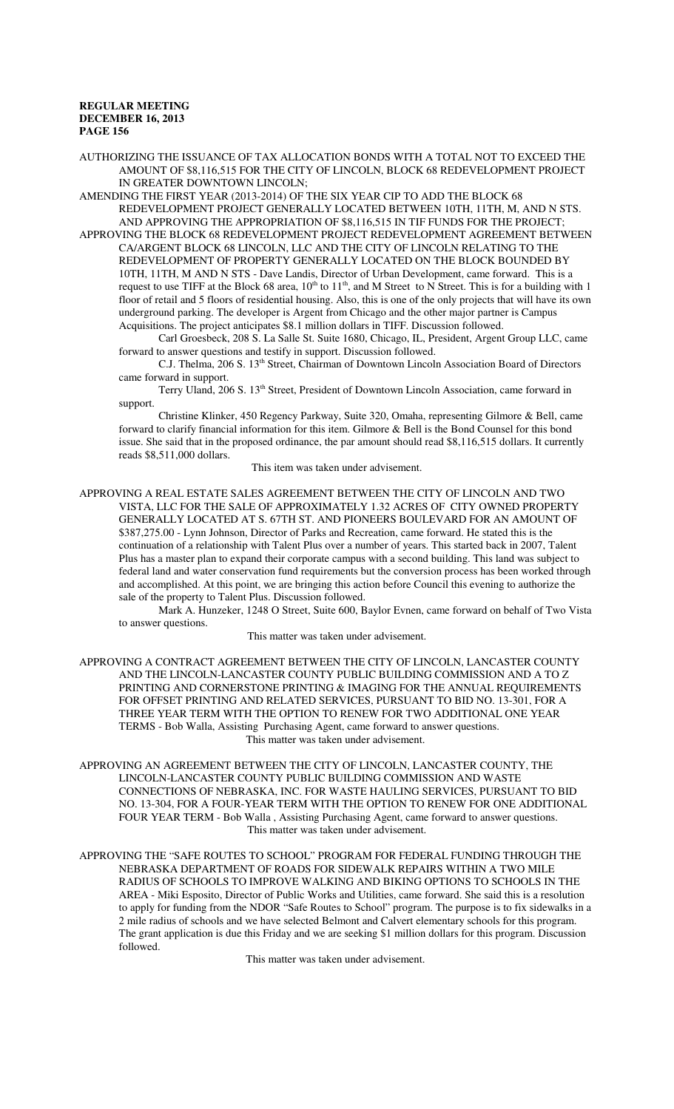AUTHORIZING THE ISSUANCE OF TAX ALLOCATION BONDS WITH A TOTAL NOT TO EXCEED THE AMOUNT OF \$8,116,515 FOR THE CITY OF LINCOLN, BLOCK 68 REDEVELOPMENT PROJECT IN GREATER DOWNTOWN LINCOLN;

AMENDING THE FIRST YEAR (2013-2014) OF THE SIX YEAR CIP TO ADD THE BLOCK 68 REDEVELOPMENT PROJECT GENERALLY LOCATED BETWEEN 10TH, 11TH, M, AND N STS. AND APPROVING THE APPROPRIATION OF \$8,116,515 IN TIF FUNDS FOR THE PROJECT;

APPROVING THE BLOCK 68 REDEVELOPMENT PROJECT REDEVELOPMENT AGREEMENT BETWEEN CA/ARGENT BLOCK 68 LINCOLN, LLC AND THE CITY OF LINCOLN RELATING TO THE REDEVELOPMENT OF PROPERTY GENERALLY LOCATED ON THE BLOCK BOUNDED BY 10TH, 11TH, M AND N STS - Dave Landis, Director of Urban Development, came forward. This is a request to use TIFF at the Block 68 area,  $10^{th}$  to  $11^{th}$ , and M Street to N Street. This is for a building with 1 floor of retail and 5 floors of residential housing. Also, this is one of the only projects that will have its own underground parking. The developer is Argent from Chicago and the other major partner is Campus Acquisitions. The project anticipates \$8.1 million dollars in TIFF. Discussion followed.

Carl Groesbeck, 208 S. La Salle St. Suite 1680, Chicago, IL, President, Argent Group LLC, came forward to answer questions and testify in support. Discussion followed.

C.J. Thelma, 206 S. 13<sup>th</sup> Street, Chairman of Downtown Lincoln Association Board of Directors came forward in support.

Terry Uland, 206 S. 13<sup>th</sup> Street, President of Downtown Lincoln Association, came forward in support.

Christine Klinker, 450 Regency Parkway, Suite 320, Omaha, representing Gilmore & Bell, came forward to clarify financial information for this item. Gilmore & Bell is the Bond Counsel for this bond issue. She said that in the proposed ordinance, the par amount should read \$8,116,515 dollars. It currently reads \$8,511,000 dollars.

This item was taken under advisement.

APPROVING A REAL ESTATE SALES AGREEMENT BETWEEN THE CITY OF LINCOLN AND TWO VISTA, LLC FOR THE SALE OF APPROXIMATELY 1.32 ACRES OF CITY OWNED PROPERTY GENERALLY LOCATED AT S. 67TH ST. AND PIONEERS BOULEVARD FOR AN AMOUNT OF \$387,275.00 - Lynn Johnson, Director of Parks and Recreation, came forward. He stated this is the continuation of a relationship with Talent Plus over a number of years. This started back in 2007, Talent Plus has a master plan to expand their corporate campus with a second building. This land was subject to federal land and water conservation fund requirements but the conversion process has been worked through and accomplished. At this point, we are bringing this action before Council this evening to authorize the sale of the property to Talent Plus. Discussion followed.

Mark A. Hunzeker, 1248 O Street, Suite 600, Baylor Evnen, came forward on behalf of Two Vista to answer questions.

This matter was taken under advisement.

APPROVING A CONTRACT AGREEMENT BETWEEN THE CITY OF LINCOLN, LANCASTER COUNTY AND THE LINCOLN-LANCASTER COUNTY PUBLIC BUILDING COMMISSION AND A TO Z PRINTING AND CORNERSTONE PRINTING & IMAGING FOR THE ANNUAL REQUIREMENTS FOR OFFSET PRINTING AND RELATED SERVICES, PURSUANT TO BID NO. 13-301, FOR A THREE YEAR TERM WITH THE OPTION TO RENEW FOR TWO ADDITIONAL ONE YEAR TERMS - Bob Walla, Assisting Purchasing Agent, came forward to answer questions. This matter was taken under advisement.

APPROVING AN AGREEMENT BETWEEN THE CITY OF LINCOLN, LANCASTER COUNTY, THE LINCOLN-LANCASTER COUNTY PUBLIC BUILDING COMMISSION AND WASTE CONNECTIONS OF NEBRASKA, INC. FOR WASTE HAULING SERVICES, PURSUANT TO BID NO. 13-304, FOR A FOUR-YEAR TERM WITH THE OPTION TO RENEW FOR ONE ADDITIONAL FOUR YEAR TERM - Bob Walla , Assisting Purchasing Agent, came forward to answer questions. This matter was taken under advisement.

APPROVING THE "SAFE ROUTES TO SCHOOL" PROGRAM FOR FEDERAL FUNDING THROUGH THE NEBRASKA DEPARTMENT OF ROADS FOR SIDEWALK REPAIRS WITHIN A TWO MILE RADIUS OF SCHOOLS TO IMPROVE WALKING AND BIKING OPTIONS TO SCHOOLS IN THE AREA - Miki Esposito, Director of Public Works and Utilities, came forward. She said this is a resolution to apply for funding from the NDOR "Safe Routes to School" program. The purpose is to fix sidewalks in a 2 mile radius of schools and we have selected Belmont and Calvert elementary schools for this program. The grant application is due this Friday and we are seeking \$1 million dollars for this program. Discussion followed.

This matter was taken under advisement.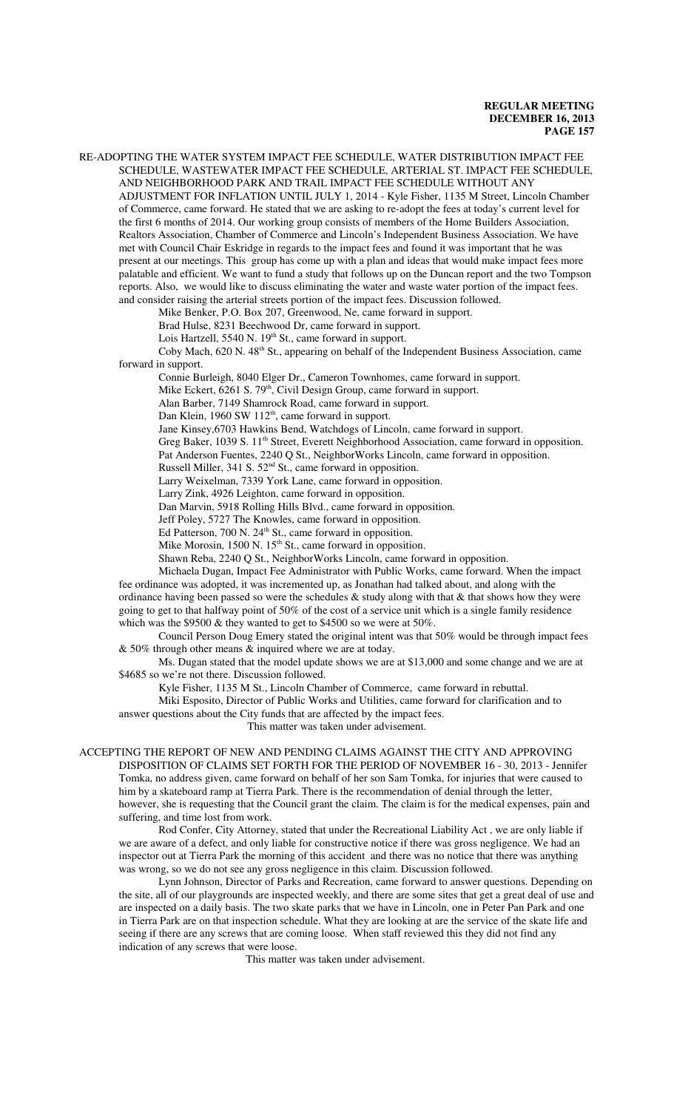RE-ADOPTING THE WATER SYSTEM IMPACT FEE SCHEDULE, WATER DISTRIBUTION IMPACT FEE SCHEDULE, WASTEWATER IMPACT FEE SCHEDULE, ARTERIAL ST. IMPACT FEE SCHEDULE, AND NEIGHBORHOOD PARK AND TRAIL IMPACT FEE SCHEDULE WITHOUT ANY

ADJUSTMENT FOR INFLATION UNTIL JULY 1, 2014 - Kyle Fisher, 1135 M Street, Lincoln Chamber of Commerce, came forward. He stated that we are asking to re-adopt the fees at today's current level for the first 6 months of 2014. Our working group consists of members of the Home Builders Association, Realtors Association, Chamber of Commerce and Lincoln's Independent Business Association. We have met with Council Chair Eskridge in regards to the impact fees and found it was important that he was present at our meetings. This group has come up with a plan and ideas that would make impact fees more palatable and efficient. We want to fund a study that follows up on the Duncan report and the two Tompson reports. Also, we would like to discuss eliminating the water and waste water portion of the impact fees. and consider raising the arterial streets portion of the impact fees. Discussion followed.

Mike Benker, P.O. Box 207, Greenwood, Ne, came forward in support.

Brad Hulse, 8231 Beechwood Dr, came forward in support.

Lois Hartzell, 5540 N. 19<sup>th</sup> St., came forward in support.

Coby Mach, 620 N. 48<sup>th</sup> St., appearing on behalf of the Independent Business Association, came forward in support.

Connie Burleigh, 8040 Elger Dr., Cameron Townhomes, came forward in support.

Mike Eckert, 6261 S. 79<sup>th</sup>, Civil Design Group, came forward in support.

Alan Barber, 7149 Shamrock Road, came forward in support.

Dan Klein, 1960 SW 112<sup>th</sup>, came forward in support.

Jane Kinsey,6703 Hawkins Bend, Watchdogs of Lincoln, came forward in support.

Greg Baker, 1039 S. 11<sup>th</sup> Street, Everett Neighborhood Association, came forward in opposition.

Pat Anderson Fuentes, 2240 Q St., NeighborWorks Lincoln, came forward in opposition.

Russell Miller, 341 S. 52<sup>nd</sup> St., came forward in opposition.

Larry Weixelman, 7339 York Lane, came forward in opposition.

Larry Zink, 4926 Leighton, came forward in opposition.

Dan Marvin, 5918 Rolling Hills Blvd., came forward in opposition.

Jeff Poley, 5727 The Knowles, came forward in opposition.

Ed Patterson, 700 N.  $24<sup>th</sup>$  St., came forward in opposition.

Mike Morosin,  $1500$  N.  $15<sup>th</sup>$  St., came forward in opposition.

Shawn Reba, 2240 Q St., NeighborWorks Lincoln, came forward in opposition.

Michaela Dugan, Impact Fee Administrator with Public Works, came forward. When the impact fee ordinance was adopted, it was incremented up, as Jonathan had talked about, and along with the ordinance having been passed so were the schedules & study along with that & that shows how they were going to get to that halfway point of 50% of the cost of a service unit which is a single family residence which was the \$9500 & they wanted to get to \$4500 so we were at 50%.

Council Person Doug Emery stated the original intent was that 50% would be through impact fees & 50% through other means & inquired where we are at today.

Ms. Dugan stated that the model update shows we are at \$13,000 and some change and we are at \$4685 so we're not there. Discussion followed.

Kyle Fisher, 1135 M St., Lincoln Chamber of Commerce, came forward in rebuttal.

Miki Esposito, Director of Public Works and Utilities, came forward for clarification and to answer questions about the City funds that are affected by the impact fees.

This matter was taken under advisement.

ACCEPTING THE REPORT OF NEW AND PENDING CLAIMS AGAINST THE CITY AND APPROVING DISPOSITION OF CLAIMS SET FORTH FOR THE PERIOD OF NOVEMBER 16 - 30, 2013 - Jennifer Tomka, no address given, came forward on behalf of her son Sam Tomka, for injuries that were caused to him by a skateboard ramp at Tierra Park. There is the recommendation of denial through the letter, however, she is requesting that the Council grant the claim. The claim is for the medical expenses, pain and suffering, and time lost from work.

Rod Confer, City Attorney, stated that under the Recreational Liability Act , we are only liable if we are aware of a defect, and only liable for constructive notice if there was gross negligence. We had an inspector out at Tierra Park the morning of this accident and there was no notice that there was anything was wrong, so we do not see any gross negligence in this claim. Discussion followed.

Lynn Johnson, Director of Parks and Recreation, came forward to answer questions. Depending on the site, all of our playgrounds are inspected weekly, and there are some sites that get a great deal of use and are inspected on a daily basis. The two skate parks that we have in Lincoln, one in Peter Pan Park and one in Tierra Park are on that inspection schedule. What they are looking at are the service of the skate life and seeing if there are any screws that are coming loose. When staff reviewed this they did not find any indication of any screws that were loose.

This matter was taken under advisement.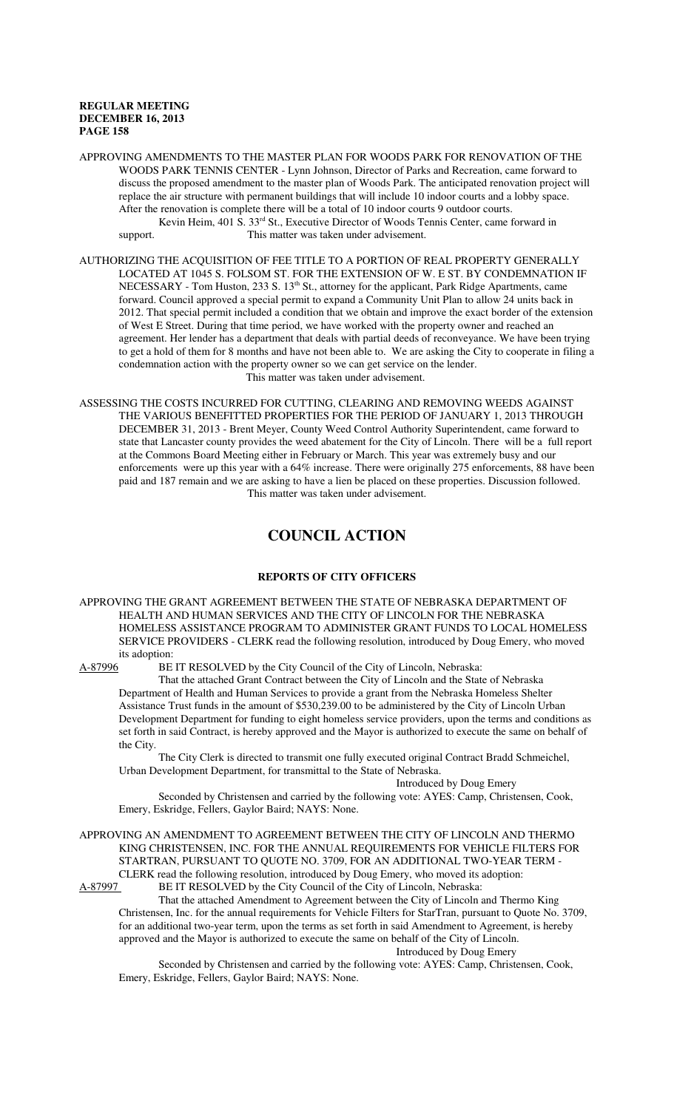APPROVING AMENDMENTS TO THE MASTER PLAN FOR WOODS PARK FOR RENOVATION OF THE WOODS PARK TENNIS CENTER - Lynn Johnson, Director of Parks and Recreation, came forward to discuss the proposed amendment to the master plan of Woods Park. The anticipated renovation project will replace the air structure with permanent buildings that will include 10 indoor courts and a lobby space. After the renovation is complete there will be a total of 10 indoor courts 9 outdoor courts. Kevin Heim, 401 S. 33rd St., Executive Director of Woods Tennis Center, came forward in support. This matter was taken under advisement.

AUTHORIZING THE ACQUISITION OF FEE TITLE TO A PORTION OF REAL PROPERTY GENERALLY LOCATED AT 1045 S. FOLSOM ST. FOR THE EXTENSION OF W. E ST. BY CONDEMNATION IF NECESSARY - Tom Huston, 233 S. 13<sup>th</sup> St., attorney for the applicant, Park Ridge Apartments, came forward. Council approved a special permit to expand a Community Unit Plan to allow 24 units back in 2012. That special permit included a condition that we obtain and improve the exact border of the extension of West E Street. During that time period, we have worked with the property owner and reached an agreement. Her lender has a department that deals with partial deeds of reconveyance. We have been trying to get a hold of them for 8 months and have not been able to. We are asking the City to cooperate in filing a condemnation action with the property owner so we can get service on the lender. This matter was taken under advisement.

ASSESSING THE COSTS INCURRED FOR CUTTING, CLEARING AND REMOVING WEEDS AGAINST THE VARIOUS BENEFITTED PROPERTIES FOR THE PERIOD OF JANUARY 1, 2013 THROUGH DECEMBER 31, 2013 - Brent Meyer, County Weed Control Authority Superintendent, came forward to state that Lancaster county provides the weed abatement for the City of Lincoln. There will be a full report at the Commons Board Meeting either in February or March. This year was extremely busy and our enforcements were up this year with a 64% increase. There were originally 275 enforcements, 88 have been paid and 187 remain and we are asking to have a lien be placed on these properties. Discussion followed. This matter was taken under advisement.

# **COUNCIL ACTION**

### **REPORTS OF CITY OFFICERS**

APPROVING THE GRANT AGREEMENT BETWEEN THE STATE OF NEBRASKA DEPARTMENT OF HEALTH AND HUMAN SERVICES AND THE CITY OF LINCOLN FOR THE NEBRASKA HOMELESS ASSISTANCE PROGRAM TO ADMINISTER GRANT FUNDS TO LOCAL HOMELESS SERVICE PROVIDERS - CLERK read the following resolution, introduced by Doug Emery, who moved its adoption:<br>A-87996 BE

BE IT RESOLVED by the City Council of the City of Lincoln, Nebraska:

That the attached Grant Contract between the City of Lincoln and the State of Nebraska Department of Health and Human Services to provide a grant from the Nebraska Homeless Shelter Assistance Trust funds in the amount of \$530,239.00 to be administered by the City of Lincoln Urban Development Department for funding to eight homeless service providers, upon the terms and conditions as set forth in said Contract, is hereby approved and the Mayor is authorized to execute the same on behalf of the City.

The City Clerk is directed to transmit one fully executed original Contract Bradd Schmeichel, Urban Development Department, for transmittal to the State of Nebraska.

Introduced by Doug Emery

Seconded by Christensen and carried by the following vote: AYES: Camp, Christensen, Cook, Emery, Eskridge, Fellers, Gaylor Baird; NAYS: None.

APPROVING AN AMENDMENT TO AGREEMENT BETWEEN THE CITY OF LINCOLN AND THERMO KING CHRISTENSEN, INC. FOR THE ANNUAL REQUIREMENTS FOR VEHICLE FILTERS FOR STARTRAN, PURSUANT TO QUOTE NO. 3709, FOR AN ADDITIONAL TWO-YEAR TERM - CLERK read the following resolution, introduced by Doug Emery, who moved its adoption: A-87997 BE IT RESOLVED by the City Council of the City of Lincoln, Nebraska:

That the attached Amendment to Agreement between the City of Lincoln and Thermo King Christensen, Inc. for the annual requirements for Vehicle Filters for StarTran, pursuant to Quote No. 3709, for an additional two-year term, upon the terms as set forth in said Amendment to Agreement, is hereby approved and the Mayor is authorized to execute the same on behalf of the City of Lincoln.

Introduced by Doug Emery

Seconded by Christensen and carried by the following vote: AYES: Camp, Christensen, Cook, Emery, Eskridge, Fellers, Gaylor Baird; NAYS: None.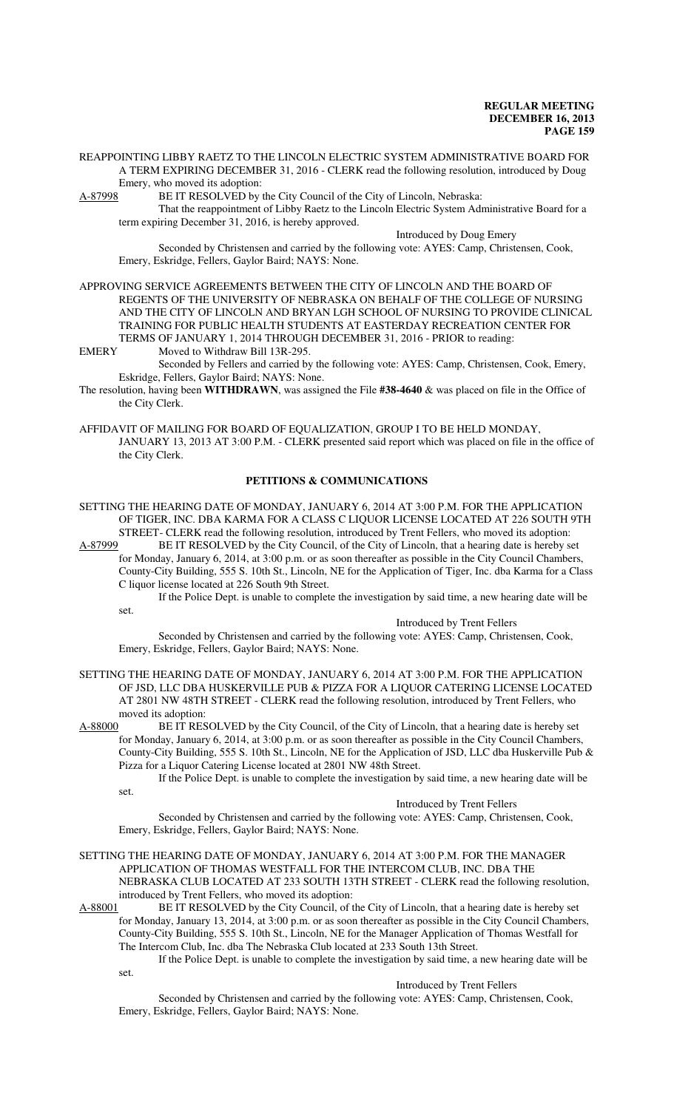REAPPOINTING LIBBY RAETZ TO THE LINCOLN ELECTRIC SYSTEM ADMINISTRATIVE BOARD FOR A TERM EXPIRING DECEMBER 31, 2016 - CLERK read the following resolution, introduced by Doug Emery, who moved its adoption:

A-87998 BE IT RESOLVED by the City Council of the City of Lincoln, Nebraska:

That the reappointment of Libby Raetz to the Lincoln Electric System Administrative Board for a term expiring December 31, 2016, is hereby approved.

Introduced by Doug Emery

Seconded by Christensen and carried by the following vote: AYES: Camp, Christensen, Cook, Emery, Eskridge, Fellers, Gaylor Baird; NAYS: None.

APPROVING SERVICE AGREEMENTS BETWEEN THE CITY OF LINCOLN AND THE BOARD OF REGENTS OF THE UNIVERSITY OF NEBRASKA ON BEHALF OF THE COLLEGE OF NURSING AND THE CITY OF LINCOLN AND BRYAN LGH SCHOOL OF NURSING TO PROVIDE CLINICAL TRAINING FOR PUBLIC HEALTH STUDENTS AT EASTERDAY RECREATION CENTER FOR TERMS OF JANUARY 1, 2014 THROUGH DECEMBER 31, 2016 - PRIOR to reading:<br>EMERY Moved to Withdraw Bill 13R-295.

Moved to Withdraw Bill 13R-295.

Seconded by Fellers and carried by the following vote: AYES: Camp, Christensen, Cook, Emery, Eskridge, Fellers, Gaylor Baird; NAYS: None.

The resolution, having been **WITHDRAWN**, was assigned the File **#38-4640** & was placed on file in the Office of the City Clerk.

AFFIDAVIT OF MAILING FOR BOARD OF EQUALIZATION, GROUP I TO BE HELD MONDAY, JANUARY 13, 2013 AT 3:00 P.M. - CLERK presented said report which was placed on file in the office of the City Clerk.

#### **PETITIONS & COMMUNICATIONS**

SETTING THE HEARING DATE OF MONDAY, JANUARY 6, 2014 AT 3:00 P.M. FOR THE APPLICATION OF TIGER, INC. DBA KARMA FOR A CLASS C LIQUOR LICENSE LOCATED AT 226 SOUTH 9TH

STREET- CLERK read the following resolution, introduced by Trent Fellers, who moved its adoption:<br>A-87999 BE IT RESOLVED by the City Council, of the City of Lincoln, that a hearing date is hereby set BE IT RESOLVED by the City Council, of the City of Lincoln, that a hearing date is hereby set for Monday, January 6, 2014, at 3:00 p.m. or as soon thereafter as possible in the City Council Chambers, County-City Building, 555 S. 10th St., Lincoln, NE for the Application of Tiger, Inc. dba Karma for a Class C liquor license located at 226 South 9th Street.

If the Police Dept. is unable to complete the investigation by said time, a new hearing date will be set.

Introduced by Trent Fellers

Seconded by Christensen and carried by the following vote: AYES: Camp, Christensen, Cook, Emery, Eskridge, Fellers, Gaylor Baird; NAYS: None.

SETTING THE HEARING DATE OF MONDAY, JANUARY 6, 2014 AT 3:00 P.M. FOR THE APPLICATION OF JSD, LLC DBA HUSKERVILLE PUB & PIZZA FOR A LIQUOR CATERING LICENSE LOCATED AT 2801 NW 48TH STREET - CLERK read the following resolution, introduced by Trent Fellers, who moved its adoption:<br>A-88000 BE IT RES

BE IT RESOLVED by the City Council, of the City of Lincoln, that a hearing date is hereby set for Monday, January 6, 2014, at 3:00 p.m. or as soon thereafter as possible in the City Council Chambers, County-City Building, 555 S. 10th St., Lincoln, NE for the Application of JSD, LLC dba Huskerville Pub & Pizza for a Liquor Catering License located at 2801 NW 48th Street.

If the Police Dept. is unable to complete the investigation by said time, a new hearing date will be set.

Introduced by Trent Fellers

Seconded by Christensen and carried by the following vote: AYES: Camp, Christensen, Cook, Emery, Eskridge, Fellers, Gaylor Baird; NAYS: None.

#### SETTING THE HEARING DATE OF MONDAY, JANUARY 6, 2014 AT 3:00 P.M. FOR THE MANAGER APPLICATION OF THOMAS WESTFALL FOR THE INTERCOM CLUB, INC. DBA THE NEBRASKA CLUB LOCATED AT 233 SOUTH 13TH STREET - CLERK read the following resolution, introduced by Trent Fellers, who moved its adoption:

A-88001 BE IT RESOLVED by the City Council, of the City of Lincoln, that a hearing date is hereby set for Monday, January 13, 2014, at 3:00 p.m. or as soon thereafter as possible in the City Council Chambers, County-City Building, 555 S. 10th St., Lincoln, NE for the Manager Application of Thomas Westfall for The Intercom Club, Inc. dba The Nebraska Club located at 233 South 13th Street.

If the Police Dept. is unable to complete the investigation by said time, a new hearing date will be

set.

Introduced by Trent Fellers

Seconded by Christensen and carried by the following vote: AYES: Camp, Christensen, Cook, Emery, Eskridge, Fellers, Gaylor Baird; NAYS: None.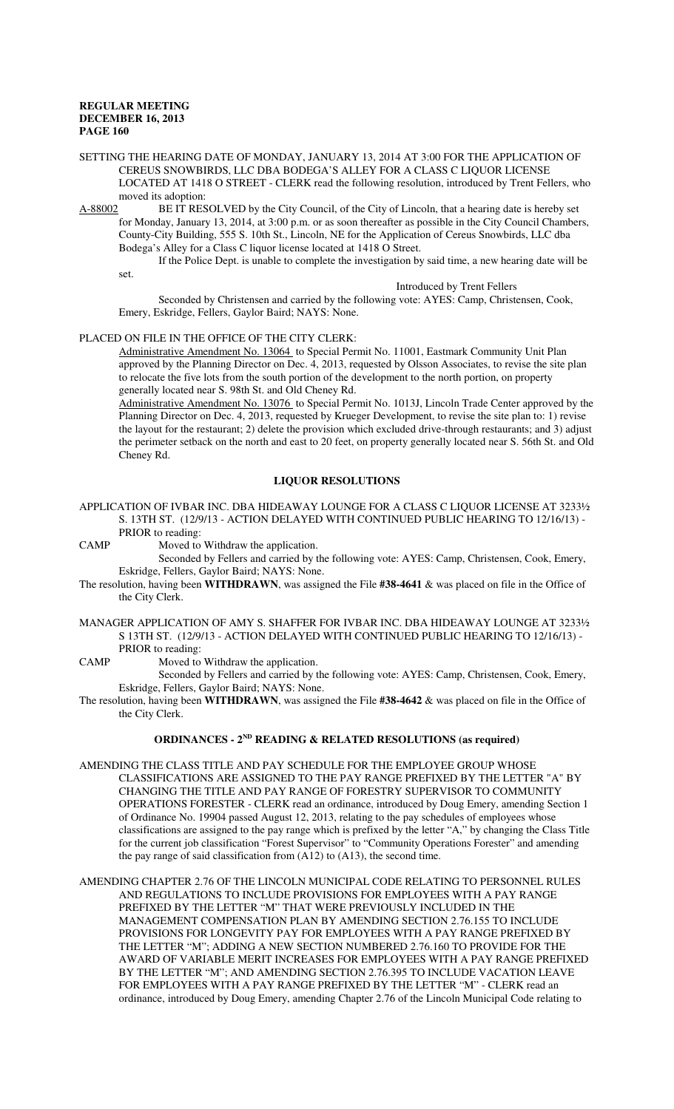SETTING THE HEARING DATE OF MONDAY, JANUARY 13, 2014 AT 3:00 FOR THE APPLICATION OF CEREUS SNOWBIRDS, LLC DBA BODEGA'S ALLEY FOR A CLASS C LIQUOR LICENSE LOCATED AT 1418 O STREET - CLERK read the following resolution, introduced by Trent Fellers, who moved its adoption:

A-88002 BE IT RESOLVED by the City Council, of the City of Lincoln, that a hearing date is hereby set for Monday, January 13, 2014, at 3:00 p.m. or as soon thereafter as possible in the City Council Chambers, County-City Building, 555 S. 10th St., Lincoln, NE for the Application of Cereus Snowbirds, LLC dba Bodega's Alley for a Class C liquor license located at 1418 O Street.

If the Police Dept. is unable to complete the investigation by said time, a new hearing date will be

set.

#### Introduced by Trent Fellers

Seconded by Christensen and carried by the following vote: AYES: Camp, Christensen, Cook, Emery, Eskridge, Fellers, Gaylor Baird; NAYS: None.

#### PLACED ON FILE IN THE OFFICE OF THE CITY CLERK:

Administrative Amendment No. 13064 to Special Permit No. 11001, Eastmark Community Unit Plan approved by the Planning Director on Dec. 4, 2013, requested by Olsson Associates, to revise the site plan to relocate the five lots from the south portion of the development to the north portion, on property generally located near S. 98th St. and Old Cheney Rd.

Administrative Amendment No. 13076 to Special Permit No. 1013J, Lincoln Trade Center approved by the Planning Director on Dec. 4, 2013, requested by Krueger Development, to revise the site plan to: 1) revise the layout for the restaurant; 2) delete the provision which excluded drive-through restaurants; and 3) adjust the perimeter setback on the north and east to 20 feet, on property generally located near S. 56th St. and Old Cheney Rd.

#### **LIQUOR RESOLUTIONS**

- APPLICATION OF IVBAR INC. DBA HIDEAWAY LOUNGE FOR A CLASS C LIQUOR LICENSE AT 3233½ S. 13TH ST. (12/9/13 - ACTION DELAYED WITH CONTINUED PUBLIC HEARING TO 12/16/13) - PRIOR to reading:
- CAMP Moved to Withdraw the application.

Seconded by Fellers and carried by the following vote: AYES: Camp, Christensen, Cook, Emery, Eskridge, Fellers, Gaylor Baird; NAYS: None.

- The resolution, having been **WITHDRAWN**, was assigned the File **#38-4641** & was placed on file in the Office of the City Clerk.
- MANAGER APPLICATION OF AMY S. SHAFFER FOR IVBAR INC. DBA HIDEAWAY LOUNGE AT 3233½ S 13TH ST. (12/9/13 - ACTION DELAYED WITH CONTINUED PUBLIC HEARING TO 12/16/13) - PRIOR to reading:
- CAMP Moved to Withdraw the application.

Seconded by Fellers and carried by the following vote: AYES: Camp, Christensen, Cook, Emery, Eskridge, Fellers, Gaylor Baird; NAYS: None.

The resolution, having been **WITHDRAWN**, was assigned the File **#38-4642** & was placed on file in the Office of the City Clerk.

#### **ORDINANCES - 2ND READING & RELATED RESOLUTIONS (as required)**

AMENDING THE CLASS TITLE AND PAY SCHEDULE FOR THE EMPLOYEE GROUP WHOSE CLASSIFICATIONS ARE ASSIGNED TO THE PAY RANGE PREFIXED BY THE LETTER "A" BY CHANGING THE TITLE AND PAY RANGE OF FORESTRY SUPERVISOR TO COMMUNITY OPERATIONS FORESTER - CLERK read an ordinance, introduced by Doug Emery, amending Section 1 of Ordinance No. 19904 passed August 12, 2013, relating to the pay schedules of employees whose classifications are assigned to the pay range which is prefixed by the letter "A," by changing the Class Title for the current job classification "Forest Supervisor" to "Community Operations Forester" and amending the pay range of said classification from (A12) to (A13), the second time.

AMENDING CHAPTER 2.76 OF THE LINCOLN MUNICIPAL CODE RELATING TO PERSONNEL RULES AND REGULATIONS TO INCLUDE PROVISIONS FOR EMPLOYEES WITH A PAY RANGE PREFIXED BY THE LETTER "M" THAT WERE PREVIOUSLY INCLUDED IN THE MANAGEMENT COMPENSATION PLAN BY AMENDING SECTION 2.76.155 TO INCLUDE PROVISIONS FOR LONGEVITY PAY FOR EMPLOYEES WITH A PAY RANGE PREFIXED BY THE LETTER "M"; ADDING A NEW SECTION NUMBERED 2.76.160 TO PROVIDE FOR THE AWARD OF VARIABLE MERIT INCREASES FOR EMPLOYEES WITH A PAY RANGE PREFIXED BY THE LETTER "M"; AND AMENDING SECTION 2.76.395 TO INCLUDE VACATION LEAVE FOR EMPLOYEES WITH A PAY RANGE PREFIXED BY THE LETTER "M" - CLERK read an ordinance, introduced by Doug Emery, amending Chapter 2.76 of the Lincoln Municipal Code relating to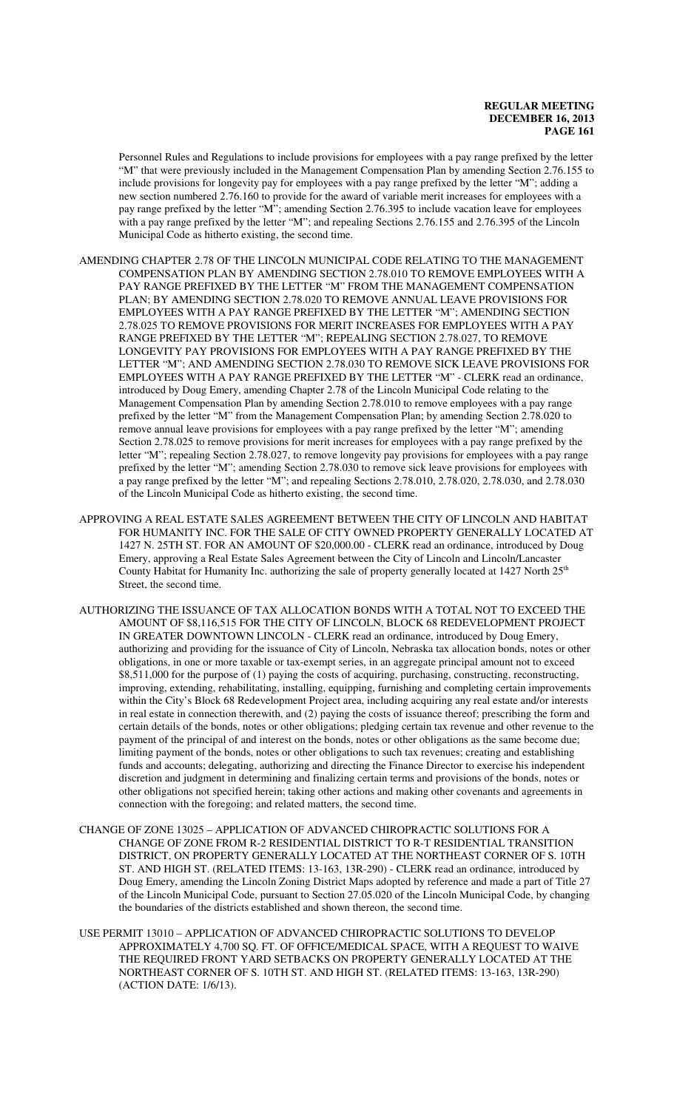Personnel Rules and Regulations to include provisions for employees with a pay range prefixed by the letter "M" that were previously included in the Management Compensation Plan by amending Section 2.76.155 to include provisions for longevity pay for employees with a pay range prefixed by the letter "M"; adding a new section numbered 2.76.160 to provide for the award of variable merit increases for employees with a pay range prefixed by the letter "M"; amending Section 2.76.395 to include vacation leave for employees with a pay range prefixed by the letter "M"; and repealing Sections 2.76.155 and 2.76.395 of the Lincoln Municipal Code as hitherto existing, the second time.

- AMENDING CHAPTER 2.78 OF THE LINCOLN MUNICIPAL CODE RELATING TO THE MANAGEMENT COMPENSATION PLAN BY AMENDING SECTION 2.78.010 TO REMOVE EMPLOYEES WITH A PAY RANGE PREFIXED BY THE LETTER "M" FROM THE MANAGEMENT COMPENSATION PLAN; BY AMENDING SECTION 2.78.020 TO REMOVE ANNUAL LEAVE PROVISIONS FOR EMPLOYEES WITH A PAY RANGE PREFIXED BY THE LETTER "M"; AMENDING SECTION 2.78.025 TO REMOVE PROVISIONS FOR MERIT INCREASES FOR EMPLOYEES WITH A PAY RANGE PREFIXED BY THE LETTER "M"; REPEALING SECTION 2.78.027, TO REMOVE LONGEVITY PAY PROVISIONS FOR EMPLOYEES WITH A PAY RANGE PREFIXED BY THE LETTER "M"; AND AMENDING SECTION 2.78.030 TO REMOVE SICK LEAVE PROVISIONS FOR EMPLOYEES WITH A PAY RANGE PREFIXED BY THE LETTER "M" - CLERK read an ordinance, introduced by Doug Emery, amending Chapter 2.78 of the Lincoln Municipal Code relating to the Management Compensation Plan by amending Section 2.78.010 to remove employees with a pay range prefixed by the letter "M" from the Management Compensation Plan; by amending Section 2.78.020 to remove annual leave provisions for employees with a pay range prefixed by the letter "M"; amending Section 2.78.025 to remove provisions for merit increases for employees with a pay range prefixed by the letter "M"; repealing Section 2.78.027, to remove longevity pay provisions for employees with a pay range prefixed by the letter "M"; amending Section 2.78.030 to remove sick leave provisions for employees with a pay range prefixed by the letter "M"; and repealing Sections 2.78.010, 2.78.020, 2.78.030, and 2.78.030 of the Lincoln Municipal Code as hitherto existing, the second time.
- APPROVING A REAL ESTATE SALES AGREEMENT BETWEEN THE CITY OF LINCOLN AND HABITAT FOR HUMANITY INC. FOR THE SALE OF CITY OWNED PROPERTY GENERALLY LOCATED AT 1427 N. 25TH ST. FOR AN AMOUNT OF \$20,000.00 - CLERK read an ordinance, introduced by Doug Emery, approving a Real Estate Sales Agreement between the City of Lincoln and Lincoln/Lancaster County Habitat for Humanity Inc. authorizing the sale of property generally located at 1427 North 25<sup>th</sup> Street, the second time.
- AUTHORIZING THE ISSUANCE OF TAX ALLOCATION BONDS WITH A TOTAL NOT TO EXCEED THE AMOUNT OF \$8,116,515 FOR THE CITY OF LINCOLN, BLOCK 68 REDEVELOPMENT PROJECT IN GREATER DOWNTOWN LINCOLN - CLERK read an ordinance, introduced by Doug Emery, authorizing and providing for the issuance of City of Lincoln, Nebraska tax allocation bonds, notes or other obligations, in one or more taxable or tax-exempt series, in an aggregate principal amount not to exceed \$8,511,000 for the purpose of (1) paying the costs of acquiring, purchasing, constructing, reconstructing, improving, extending, rehabilitating, installing, equipping, furnishing and completing certain improvements within the City's Block 68 Redevelopment Project area, including acquiring any real estate and/or interests in real estate in connection therewith, and (2) paying the costs of issuance thereof; prescribing the form and certain details of the bonds, notes or other obligations; pledging certain tax revenue and other revenue to the payment of the principal of and interest on the bonds, notes or other obligations as the same become due; limiting payment of the bonds, notes or other obligations to such tax revenues; creating and establishing funds and accounts; delegating, authorizing and directing the Finance Director to exercise his independent discretion and judgment in determining and finalizing certain terms and provisions of the bonds, notes or other obligations not specified herein; taking other actions and making other covenants and agreements in connection with the foregoing; and related matters, the second time.
- CHANGE OF ZONE 13025 APPLICATION OF ADVANCED CHIROPRACTIC SOLUTIONS FOR A CHANGE OF ZONE FROM R-2 RESIDENTIAL DISTRICT TO R-T RESIDENTIAL TRANSITION DISTRICT, ON PROPERTY GENERALLY LOCATED AT THE NORTHEAST CORNER OF S. 10TH ST. AND HIGH ST. (RELATED ITEMS: 13-163, 13R-290) - CLERK read an ordinance, introduced by Doug Emery, amending the Lincoln Zoning District Maps adopted by reference and made a part of Title 27 of the Lincoln Municipal Code, pursuant to Section 27.05.020 of the Lincoln Municipal Code, by changing the boundaries of the districts established and shown thereon, the second time.
- USE PERMIT 13010 APPLICATION OF ADVANCED CHIROPRACTIC SOLUTIONS TO DEVELOP APPROXIMATELY 4,700 SQ. FT. OF OFFICE/MEDICAL SPACE, WITH A REQUEST TO WAIVE THE REQUIRED FRONT YARD SETBACKS ON PROPERTY GENERALLY LOCATED AT THE NORTHEAST CORNER OF S. 10TH ST. AND HIGH ST. (RELATED ITEMS: 13-163, 13R-290) (ACTION DATE: 1/6/13).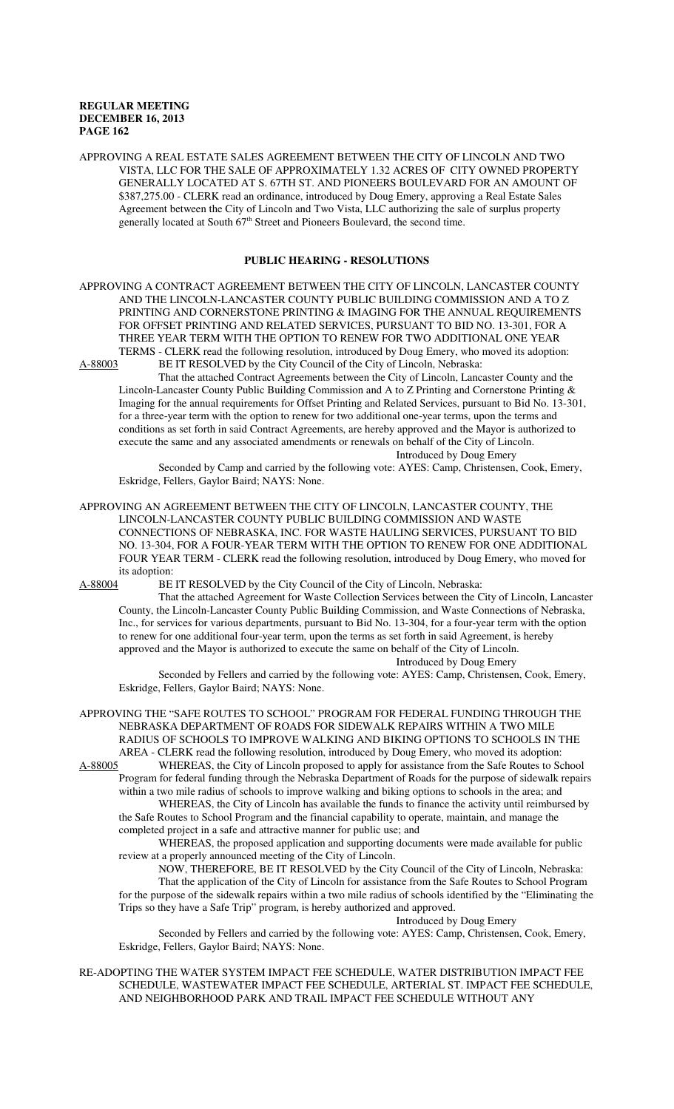APPROVING A REAL ESTATE SALES AGREEMENT BETWEEN THE CITY OF LINCOLN AND TWO VISTA, LLC FOR THE SALE OF APPROXIMATELY 1.32 ACRES OF CITY OWNED PROPERTY GENERALLY LOCATED AT S. 67TH ST. AND PIONEERS BOULEVARD FOR AN AMOUNT OF \$387,275.00 - CLERK read an ordinance, introduced by Doug Emery, approving a Real Estate Sales Agreement between the City of Lincoln and Two Vista, LLC authorizing the sale of surplus property generally located at South  $67<sup>th</sup>$  Street and Pioneers Boulevard, the second time.

#### **PUBLIC HEARING - RESOLUTIONS**

APPROVING A CONTRACT AGREEMENT BETWEEN THE CITY OF LINCOLN, LANCASTER COUNTY AND THE LINCOLN-LANCASTER COUNTY PUBLIC BUILDING COMMISSION AND A TO Z PRINTING AND CORNERSTONE PRINTING & IMAGING FOR THE ANNUAL REQUIREMENTS FOR OFFSET PRINTING AND RELATED SERVICES, PURSUANT TO BID NO. 13-301, FOR A THREE YEAR TERM WITH THE OPTION TO RENEW FOR TWO ADDITIONAL ONE YEAR TERMS - CLERK read the following resolution, introduced by Doug Emery, who moved its adoption:<br>A-88003 BE IT RESOLVED by the City Council of the City of Lincoln. Nebraska: BE IT RESOLVED by the City Council of the City of Lincoln, Nebraska:

That the attached Contract Agreements between the City of Lincoln, Lancaster County and the Lincoln-Lancaster County Public Building Commission and A to Z Printing and Cornerstone Printing & Imaging for the annual requirements for Offset Printing and Related Services, pursuant to Bid No. 13-301, for a three-year term with the option to renew for two additional one-year terms, upon the terms and conditions as set forth in said Contract Agreements, are hereby approved and the Mayor is authorized to execute the same and any associated amendments or renewals on behalf of the City of Lincoln. Introduced by Doug Emery

Seconded by Camp and carried by the following vote: AYES: Camp, Christensen, Cook, Emery, Eskridge, Fellers, Gaylor Baird; NAYS: None.

APPROVING AN AGREEMENT BETWEEN THE CITY OF LINCOLN, LANCASTER COUNTY, THE LINCOLN-LANCASTER COUNTY PUBLIC BUILDING COMMISSION AND WASTE CONNECTIONS OF NEBRASKA, INC. FOR WASTE HAULING SERVICES, PURSUANT TO BID NO. 13-304, FOR A FOUR-YEAR TERM WITH THE OPTION TO RENEW FOR ONE ADDITIONAL FOUR YEAR TERM - CLERK read the following resolution, introduced by Doug Emery, who moved for its adoption:

A-88004 BE IT RESOLVED by the City Council of the City of Lincoln, Nebraska:

That the attached Agreement for Waste Collection Services between the City of Lincoln, Lancaster County, the Lincoln-Lancaster County Public Building Commission, and Waste Connections of Nebraska, Inc., for services for various departments, pursuant to Bid No. 13-304, for a four-year term with the option to renew for one additional four-year term, upon the terms as set forth in said Agreement, is hereby approved and the Mayor is authorized to execute the same on behalf of the City of Lincoln.

Introduced by Doug Emery

Seconded by Fellers and carried by the following vote: AYES: Camp, Christensen, Cook, Emery, Eskridge, Fellers, Gaylor Baird; NAYS: None.

APPROVING THE "SAFE ROUTES TO SCHOOL" PROGRAM FOR FEDERAL FUNDING THROUGH THE NEBRASKA DEPARTMENT OF ROADS FOR SIDEWALK REPAIRS WITHIN A TWO MILE RADIUS OF SCHOOLS TO IMPROVE WALKING AND BIKING OPTIONS TO SCHOOLS IN THE AREA - CLERK read the following resolution, introduced by Doug Emery, who moved its adoption:<br>A-88005 WHEREAS, the City of Lincoln proposed to apply for assistance from the Safe Routes to Sc

WHEREAS, the City of Lincoln proposed to apply for assistance from the Safe Routes to School Program for federal funding through the Nebraska Department of Roads for the purpose of sidewalk repairs within a two mile radius of schools to improve walking and biking options to schools in the area; and WHEREAS, the City of Lincoln has available the funds to finance the activity until reimbursed by

the Safe Routes to School Program and the financial capability to operate, maintain, and manage the completed project in a safe and attractive manner for public use; and WHEREAS, the proposed application and supporting documents were made available for public

review at a properly announced meeting of the City of Lincoln.

NOW, THEREFORE, BE IT RESOLVED by the City Council of the City of Lincoln, Nebraska: That the application of the City of Lincoln for assistance from the Safe Routes to School Program for the purpose of the sidewalk repairs within a two mile radius of schools identified by the "Eliminating the Trips so they have a Safe Trip" program, is hereby authorized and approved.

Introduced by Doug Emery

Seconded by Fellers and carried by the following vote: AYES: Camp, Christensen, Cook, Emery, Eskridge, Fellers, Gaylor Baird; NAYS: None.

RE-ADOPTING THE WATER SYSTEM IMPACT FEE SCHEDULE, WATER DISTRIBUTION IMPACT FEE SCHEDULE, WASTEWATER IMPACT FEE SCHEDULE, ARTERIAL ST. IMPACT FEE SCHEDULE, AND NEIGHBORHOOD PARK AND TRAIL IMPACT FEE SCHEDULE WITHOUT ANY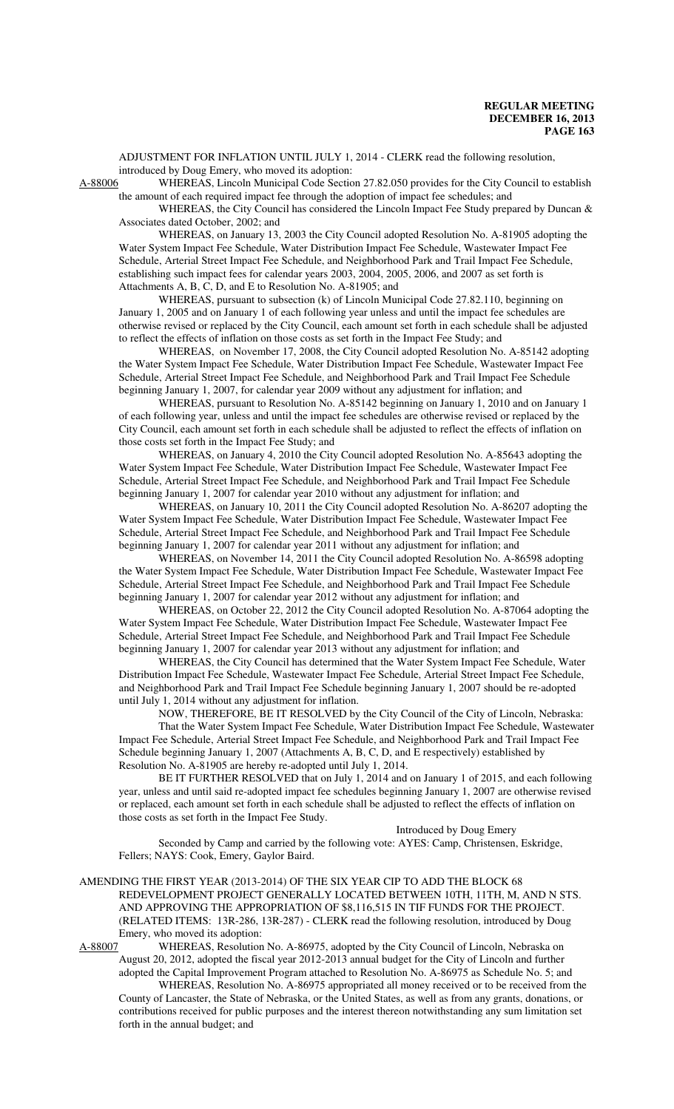ADJUSTMENT FOR INFLATION UNTIL JULY 1, 2014 - CLERK read the following resolution, introduced by Doug Emery, who moved its adoption:<br>A-88006 WHEREAS, Lincoln Municipal Code Section

WHEREAS, Lincoln Municipal Code Section 27.82.050 provides for the City Council to establish the amount of each required impact fee through the adoption of impact fee schedules; and

WHEREAS, the City Council has considered the Lincoln Impact Fee Study prepared by Duncan & Associates dated October, 2002; and

WHEREAS, on January 13, 2003 the City Council adopted Resolution No. A-81905 adopting the Water System Impact Fee Schedule, Water Distribution Impact Fee Schedule, Wastewater Impact Fee Schedule, Arterial Street Impact Fee Schedule, and Neighborhood Park and Trail Impact Fee Schedule, establishing such impact fees for calendar years 2003, 2004, 2005, 2006, and 2007 as set forth is Attachments A, B, C, D, and E to Resolution No. A-81905; and

WHEREAS, pursuant to subsection (k) of Lincoln Municipal Code 27.82.110, beginning on January 1, 2005 and on January 1 of each following year unless and until the impact fee schedules are otherwise revised or replaced by the City Council, each amount set forth in each schedule shall be adjusted to reflect the effects of inflation on those costs as set forth in the Impact Fee Study; and

WHEREAS, on November 17, 2008, the City Council adopted Resolution No. A-85142 adopting the Water System Impact Fee Schedule, Water Distribution Impact Fee Schedule, Wastewater Impact Fee Schedule, Arterial Street Impact Fee Schedule, and Neighborhood Park and Trail Impact Fee Schedule beginning January 1, 2007, for calendar year 2009 without any adjustment for inflation; and

WHEREAS, pursuant to Resolution No. A-85142 beginning on January 1, 2010 and on January 1 of each following year, unless and until the impact fee schedules are otherwise revised or replaced by the City Council, each amount set forth in each schedule shall be adjusted to reflect the effects of inflation on those costs set forth in the Impact Fee Study; and

WHEREAS, on January 4, 2010 the City Council adopted Resolution No. A-85643 adopting the Water System Impact Fee Schedule, Water Distribution Impact Fee Schedule, Wastewater Impact Fee Schedule, Arterial Street Impact Fee Schedule, and Neighborhood Park and Trail Impact Fee Schedule beginning January 1, 2007 for calendar year 2010 without any adjustment for inflation; and

WHEREAS, on January 10, 2011 the City Council adopted Resolution No. A-86207 adopting the Water System Impact Fee Schedule, Water Distribution Impact Fee Schedule, Wastewater Impact Fee Schedule, Arterial Street Impact Fee Schedule, and Neighborhood Park and Trail Impact Fee Schedule beginning January 1, 2007 for calendar year 2011 without any adjustment for inflation; and

WHEREAS, on November 14, 2011 the City Council adopted Resolution No. A-86598 adopting the Water System Impact Fee Schedule, Water Distribution Impact Fee Schedule, Wastewater Impact Fee Schedule, Arterial Street Impact Fee Schedule, and Neighborhood Park and Trail Impact Fee Schedule beginning January 1, 2007 for calendar year 2012 without any adjustment for inflation; and

WHEREAS, on October 22, 2012 the City Council adopted Resolution No. A-87064 adopting the Water System Impact Fee Schedule, Water Distribution Impact Fee Schedule, Wastewater Impact Fee Schedule, Arterial Street Impact Fee Schedule, and Neighborhood Park and Trail Impact Fee Schedule beginning January 1, 2007 for calendar year 2013 without any adjustment for inflation; and

WHEREAS, the City Council has determined that the Water System Impact Fee Schedule, Water Distribution Impact Fee Schedule, Wastewater Impact Fee Schedule, Arterial Street Impact Fee Schedule, and Neighborhood Park and Trail Impact Fee Schedule beginning January 1, 2007 should be re-adopted until July 1, 2014 without any adjustment for inflation.

NOW, THEREFORE, BE IT RESOLVED by the City Council of the City of Lincoln, Nebraska: That the Water System Impact Fee Schedule, Water Distribution Impact Fee Schedule, Wastewater Impact Fee Schedule, Arterial Street Impact Fee Schedule, and Neighborhood Park and Trail Impact Fee Schedule beginning January 1, 2007 (Attachments A, B, C, D, and E respectively) established by Resolution No. A-81905 are hereby re-adopted until July 1, 2014.

BE IT FURTHER RESOLVED that on July 1, 2014 and on January 1 of 2015, and each following year, unless and until said re-adopted impact fee schedules beginning January 1, 2007 are otherwise revised or replaced, each amount set forth in each schedule shall be adjusted to reflect the effects of inflation on those costs as set forth in the Impact Fee Study.

Introduced by Doug Emery

Seconded by Camp and carried by the following vote: AYES: Camp, Christensen, Eskridge, Fellers; NAYS: Cook, Emery, Gaylor Baird.

#### AMENDING THE FIRST YEAR (2013-2014) OF THE SIX YEAR CIP TO ADD THE BLOCK 68 REDEVELOPMENT PROJECT GENERALLY LOCATED BETWEEN 10TH, 11TH, M, AND N STS. AND APPROVING THE APPROPRIATION OF \$8,116,515 IN TIF FUNDS FOR THE PROJECT. (RELATED ITEMS: 13R-286, 13R-287) - CLERK read the following resolution, introduced by Doug Emery, who moved its adoption:

A-88007 WHEREAS, Resolution No. A-86975, adopted by the City Council of Lincoln, Nebraska on August 20, 2012, adopted the fiscal year 2012-2013 annual budget for the City of Lincoln and further

adopted the Capital Improvement Program attached to Resolution No. A-86975 as Schedule No. 5; and WHEREAS, Resolution No. A-86975 appropriated all money received or to be received from the

County of Lancaster, the State of Nebraska, or the United States, as well as from any grants, donations, or contributions received for public purposes and the interest thereon notwithstanding any sum limitation set forth in the annual budget; and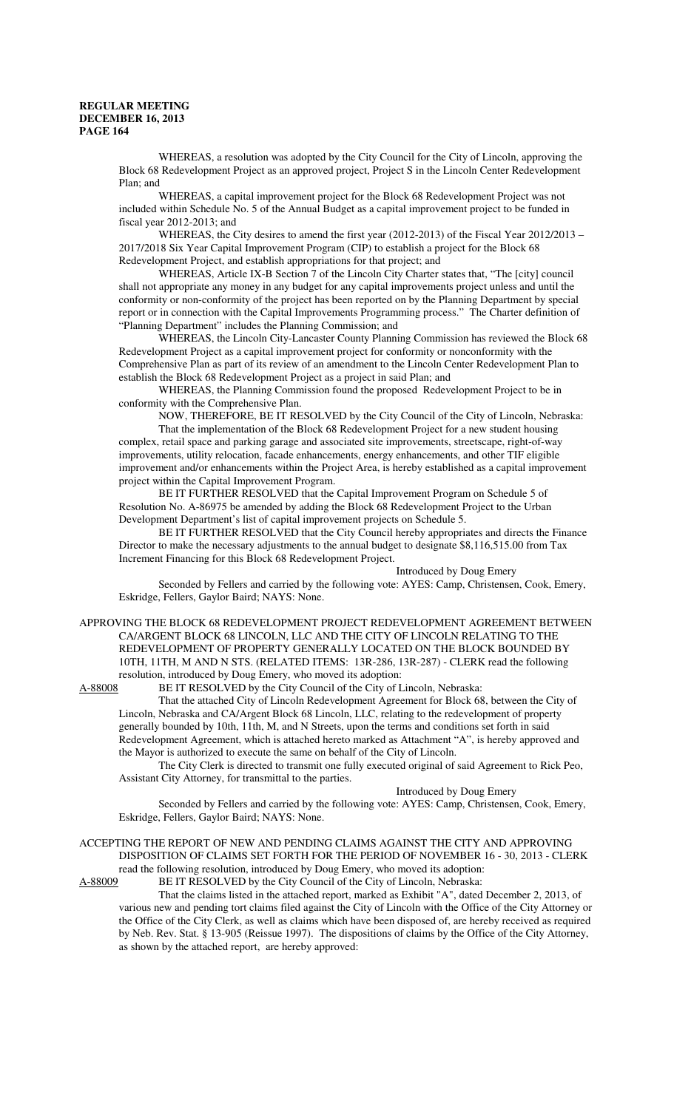WHEREAS, a resolution was adopted by the City Council for the City of Lincoln, approving the Block 68 Redevelopment Project as an approved project, Project S in the Lincoln Center Redevelopment Plan; and

WHEREAS, a capital improvement project for the Block 68 Redevelopment Project was not included within Schedule No. 5 of the Annual Budget as a capital improvement project to be funded in fiscal year 2012-2013; and

WHEREAS, the City desires to amend the first year (2012-2013) of the Fiscal Year 2012/2013 – 2017/2018 Six Year Capital Improvement Program (CIP) to establish a project for the Block 68 Redevelopment Project, and establish appropriations for that project; and

WHEREAS, Article IX-B Section 7 of the Lincoln City Charter states that, "The [city] council shall not appropriate any money in any budget for any capital improvements project unless and until the conformity or non-conformity of the project has been reported on by the Planning Department by special report or in connection with the Capital Improvements Programming process." The Charter definition of "Planning Department" includes the Planning Commission; and

WHEREAS, the Lincoln City-Lancaster County Planning Commission has reviewed the Block 68 Redevelopment Project as a capital improvement project for conformity or nonconformity with the Comprehensive Plan as part of its review of an amendment to the Lincoln Center Redevelopment Plan to establish the Block 68 Redevelopment Project as a project in said Plan; and

WHEREAS, the Planning Commission found the proposed Redevelopment Project to be in conformity with the Comprehensive Plan.

NOW, THEREFORE, BE IT RESOLVED by the City Council of the City of Lincoln, Nebraska:

That the implementation of the Block 68 Redevelopment Project for a new student housing complex, retail space and parking garage and associated site improvements, streetscape, right-of-way improvements, utility relocation, facade enhancements, energy enhancements, and other TIF eligible improvement and/or enhancements within the Project Area, is hereby established as a capital improvement project within the Capital Improvement Program.

BE IT FURTHER RESOLVED that the Capital Improvement Program on Schedule 5 of Resolution No. A-86975 be amended by adding the Block 68 Redevelopment Project to the Urban Development Department's list of capital improvement projects on Schedule 5.

BE IT FURTHER RESOLVED that the City Council hereby appropriates and directs the Finance Director to make the necessary adjustments to the annual budget to designate \$8,116,515.00 from Tax Increment Financing for this Block 68 Redevelopment Project.

Introduced by Doug Emery Seconded by Fellers and carried by the following vote: AYES: Camp, Christensen, Cook, Emery, Eskridge, Fellers, Gaylor Baird; NAYS: None.

APPROVING THE BLOCK 68 REDEVELOPMENT PROJECT REDEVELOPMENT AGREEMENT BETWEEN CA/ARGENT BLOCK 68 LINCOLN, LLC AND THE CITY OF LINCOLN RELATING TO THE REDEVELOPMENT OF PROPERTY GENERALLY LOCATED ON THE BLOCK BOUNDED BY 10TH, 11TH, M AND N STS. (RELATED ITEMS: 13R-286, 13R-287) - CLERK read the following resolution, introduced by Doug Emery, who moved its adoption:

A-88008 BE IT RESOLVED by the City Council of the City of Lincoln, Nebraska:

That the attached City of Lincoln Redevelopment Agreement for Block 68, between the City of Lincoln, Nebraska and CA/Argent Block 68 Lincoln, LLC, relating to the redevelopment of property generally bounded by 10th, 11th, M, and N Streets, upon the terms and conditions set forth in said Redevelopment Agreement, which is attached hereto marked as Attachment "A", is hereby approved and the Mayor is authorized to execute the same on behalf of the City of Lincoln.

The City Clerk is directed to transmit one fully executed original of said Agreement to Rick Peo, Assistant City Attorney, for transmittal to the parties.

# Introduced by Doug Emery

Seconded by Fellers and carried by the following vote: AYES: Camp, Christensen, Cook, Emery, Eskridge, Fellers, Gaylor Baird; NAYS: None.

#### ACCEPTING THE REPORT OF NEW AND PENDING CLAIMS AGAINST THE CITY AND APPROVING DISPOSITION OF CLAIMS SET FORTH FOR THE PERIOD OF NOVEMBER 16 - 30, 2013 - CLERK

read the following resolution, introduced by Doug Emery, who moved its adoption: A-88009 BE IT RESOLVED by the City Council of the City of Lincoln, Nebraska:

That the claims listed in the attached report, marked as Exhibit "A", dated December 2, 2013, of various new and pending tort claims filed against the City of Lincoln with the Office of the City Attorney or the Office of the City Clerk, as well as claims which have been disposed of, are hereby received as required by Neb. Rev. Stat. § 13-905 (Reissue 1997). The dispositions of claims by the Office of the City Attorney, as shown by the attached report, are hereby approved: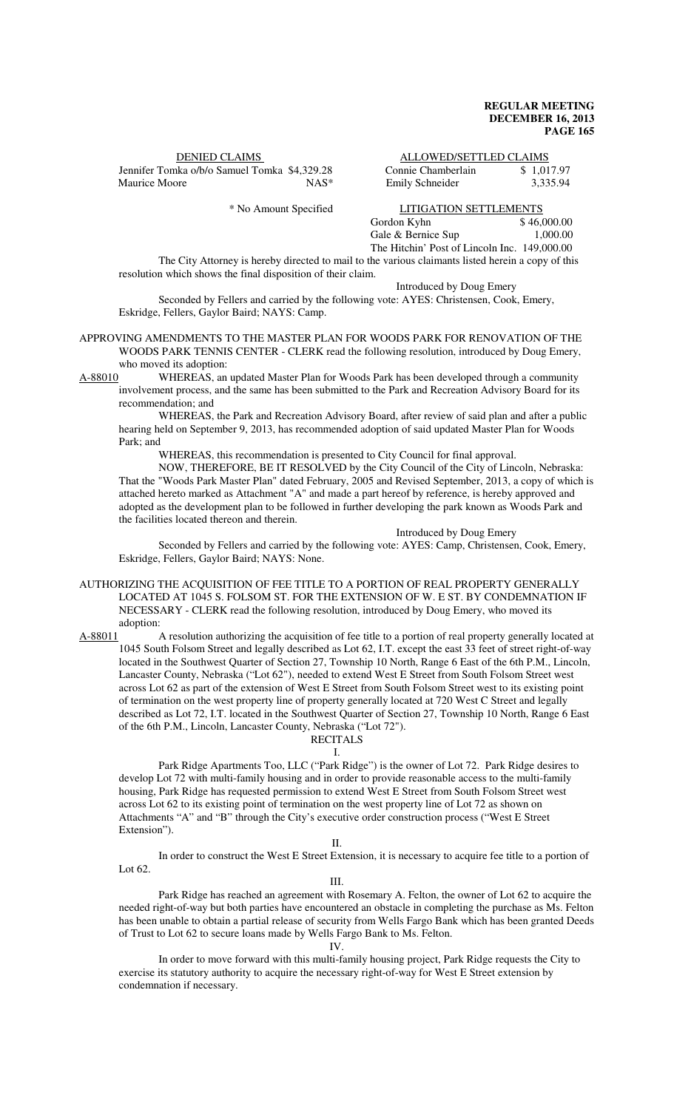| <b>DENIED CLAIMS</b>                         |         | ALLOWED/SETTLED CLAIMS |            |
|----------------------------------------------|---------|------------------------|------------|
| Jennifer Tomka o/b/o Samuel Tomka \$4,329.28 |         | Connie Chamberlain     | \$1.017.97 |
| Maurice Moore                                | $NAS^*$ | Emily Schneider        | 3.335.94   |

| <b>DENIED CLAIMS</b>                         |         |                    | ALLOWED/SETTLED CLAIMS |  |
|----------------------------------------------|---------|--------------------|------------------------|--|
| Jennifer Tomka o/b/o Samuel Tomka \$4.329.28 |         | Connie Chamberlain | \$1,017.97             |  |
| Maurice Moore                                | $NAS^*$ | Emily Schneider    | 3.335.94               |  |

\* No Amount Specified LITIGATION SETTLEMENTS

Gordon Kyhn \$ 46,000.00<br>Gale & Bernice Sup 1 000 00 Gale & Bernice Sup The Hitchin' Post of Lincoln Inc. 149,000.00

The City Attorney is hereby directed to mail to the various claimants listed herein a copy of this resolution which shows the final disposition of their claim.

Introduced by Doug Emery

Seconded by Fellers and carried by the following vote: AYES: Christensen, Cook, Emery, Eskridge, Fellers, Gaylor Baird; NAYS: Camp.

APPROVING AMENDMENTS TO THE MASTER PLAN FOR WOODS PARK FOR RENOVATION OF THE WOODS PARK TENNIS CENTER - CLERK read the following resolution, introduced by Doug Emery, who moved its adoption:

A-88010 WHEREAS, an updated Master Plan for Woods Park has been developed through a community involvement process, and the same has been submitted to the Park and Recreation Advisory Board for its recommendation; and

WHEREAS, the Park and Recreation Advisory Board, after review of said plan and after a public hearing held on September 9, 2013, has recommended adoption of said updated Master Plan for Woods Park; and

WHEREAS, this recommendation is presented to City Council for final approval.

NOW, THEREFORE, BE IT RESOLVED by the City Council of the City of Lincoln, Nebraska: That the "Woods Park Master Plan" dated February, 2005 and Revised September, 2013, a copy of which is attached hereto marked as Attachment "A" and made a part hereof by reference, is hereby approved and adopted as the development plan to be followed in further developing the park known as Woods Park and the facilities located thereon and therein.

#### Introduced by Doug Emery

Seconded by Fellers and carried by the following vote: AYES: Camp, Christensen, Cook, Emery, Eskridge, Fellers, Gaylor Baird; NAYS: None.

#### AUTHORIZING THE ACQUISITION OF FEE TITLE TO A PORTION OF REAL PROPERTY GENERALLY LOCATED AT 1045 S. FOLSOM ST. FOR THE EXTENSION OF W. E ST. BY CONDEMNATION IF NECESSARY - CLERK read the following resolution, introduced by Doug Emery, who moved its adoption:

A-88011 A resolution authorizing the acquisition of fee title to a portion of real property generally located at 1045 South Folsom Street and legally described as Lot 62, I.T. except the east 33 feet of street right-of-way located in the Southwest Quarter of Section 27, Township 10 North, Range 6 East of the 6th P.M., Lincoln, Lancaster County, Nebraska ("Lot 62"), needed to extend West E Street from South Folsom Street west across Lot 62 as part of the extension of West E Street from South Folsom Street west to its existing point of termination on the west property line of property generally located at 720 West C Street and legally described as Lot 72, I.T. located in the Southwest Quarter of Section 27, Township 10 North, Range 6 East of the 6th P.M., Lincoln, Lancaster County, Nebraska ("Lot 72").

#### RECITALS I.

Park Ridge Apartments Too, LLC ("Park Ridge") is the owner of Lot 72. Park Ridge desires to develop Lot 72 with multi-family housing and in order to provide reasonable access to the multi-family housing, Park Ridge has requested permission to extend West E Street from South Folsom Street west across Lot 62 to its existing point of termination on the west property line of Lot 72 as shown on Attachments "A" and "B" through the City's executive order construction process ("West E Street Extension").

#### II.

In order to construct the West E Street Extension, it is necessary to acquire fee title to a portion of Lot 62.

III.

Park Ridge has reached an agreement with Rosemary A. Felton, the owner of Lot 62 to acquire the needed right-of-way but both parties have encountered an obstacle in completing the purchase as Ms. Felton has been unable to obtain a partial release of security from Wells Fargo Bank which has been granted Deeds of Trust to Lot 62 to secure loans made by Wells Fargo Bank to Ms. Felton.

IV.

In order to move forward with this multi-family housing project, Park Ridge requests the City to exercise its statutory authority to acquire the necessary right-of-way for West E Street extension by condemnation if necessary.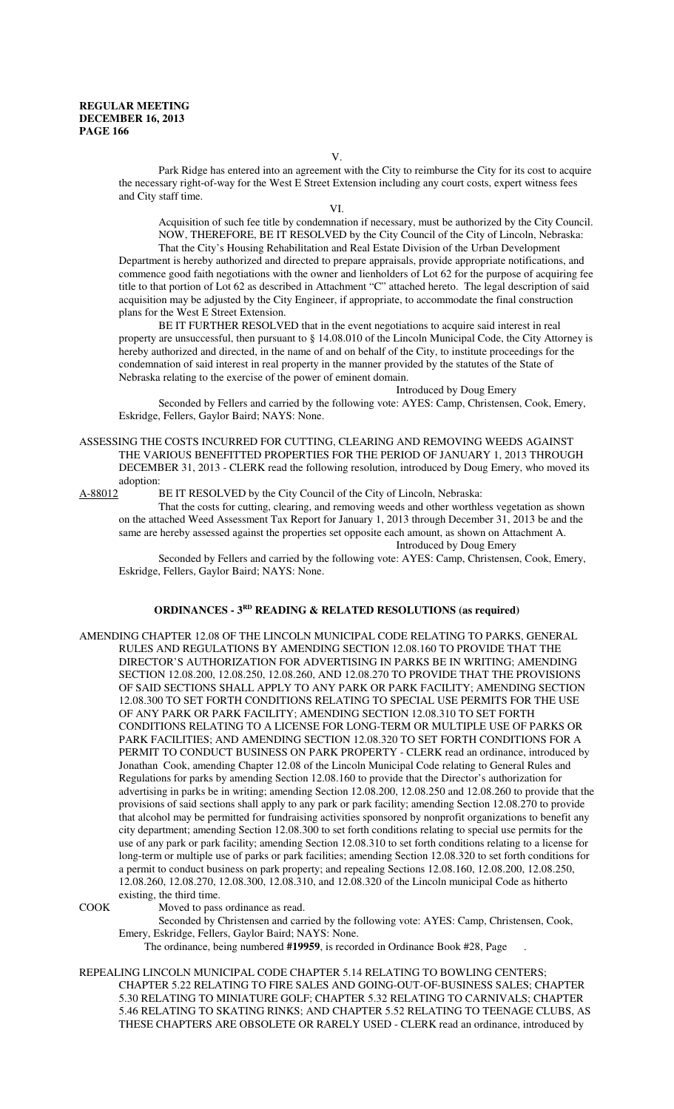Park Ridge has entered into an agreement with the City to reimburse the City for its cost to acquire the necessary right-of-way for the West E Street Extension including any court costs, expert witness fees and City staff time.

VI.

Acquisition of such fee title by condemnation if necessary, must be authorized by the City Council. NOW, THEREFORE, BE IT RESOLVED by the City Council of the City of Lincoln, Nebraska:

That the City's Housing Rehabilitation and Real Estate Division of the Urban Development Department is hereby authorized and directed to prepare appraisals, provide appropriate notifications, and commence good faith negotiations with the owner and lienholders of Lot 62 for the purpose of acquiring fee title to that portion of Lot 62 as described in Attachment "C" attached hereto. The legal description of said acquisition may be adjusted by the City Engineer, if appropriate, to accommodate the final construction plans for the West E Street Extension.

BE IT FURTHER RESOLVED that in the event negotiations to acquire said interest in real property are unsuccessful, then pursuant to § 14.08.010 of the Lincoln Municipal Code, the City Attorney is hereby authorized and directed, in the name of and on behalf of the City, to institute proceedings for the condemnation of said interest in real property in the manner provided by the statutes of the State of Nebraska relating to the exercise of the power of eminent domain.

Introduced by Doug Emery

Seconded by Fellers and carried by the following vote: AYES: Camp, Christensen, Cook, Emery, Eskridge, Fellers, Gaylor Baird; NAYS: None.

ASSESSING THE COSTS INCURRED FOR CUTTING, CLEARING AND REMOVING WEEDS AGAINST THE VARIOUS BENEFITTED PROPERTIES FOR THE PERIOD OF JANUARY 1, 2013 THROUGH DECEMBER 31, 2013 - CLERK read the following resolution, introduced by Doug Emery, who moved its adoption:<br>A-88012 I

BE IT RESOLVED by the City Council of the City of Lincoln, Nebraska:

That the costs for cutting, clearing, and removing weeds and other worthless vegetation as shown on the attached Weed Assessment Tax Report for January 1, 2013 through December 31, 2013 be and the same are hereby assessed against the properties set opposite each amount, as shown on Attachment A. Introduced by Doug Emery

Seconded by Fellers and carried by the following vote: AYES: Camp, Christensen, Cook, Emery, Eskridge, Fellers, Gaylor Baird; NAYS: None.

#### **ORDINANCES - 3RD READING & RELATED RESOLUTIONS (as required)**

AMENDING CHAPTER 12.08 OF THE LINCOLN MUNICIPAL CODE RELATING TO PARKS, GENERAL RULES AND REGULATIONS BY AMENDING SECTION 12.08.160 TO PROVIDE THAT THE DIRECTOR'S AUTHORIZATION FOR ADVERTISING IN PARKS BE IN WRITING; AMENDING SECTION 12.08.200, 12.08.250, 12.08.260, AND 12.08.270 TO PROVIDE THAT THE PROVISIONS OF SAID SECTIONS SHALL APPLY TO ANY PARK OR PARK FACILITY; AMENDING SECTION 12.08.300 TO SET FORTH CONDITIONS RELATING TO SPECIAL USE PERMITS FOR THE USE OF ANY PARK OR PARK FACILITY; AMENDING SECTION 12.08.310 TO SET FORTH CONDITIONS RELATING TO A LICENSE FOR LONG-TERM OR MULTIPLE USE OF PARKS OR PARK FACILITIES; AND AMENDING SECTION 12.08.320 TO SET FORTH CONDITIONS FOR A PERMIT TO CONDUCT BUSINESS ON PARK PROPERTY - CLERK read an ordinance, introduced by Jonathan Cook, amending Chapter 12.08 of the Lincoln Municipal Code relating to General Rules and Regulations for parks by amending Section 12.08.160 to provide that the Director's authorization for advertising in parks be in writing; amending Section 12.08.200, 12.08.250 and 12.08.260 to provide that the provisions of said sections shall apply to any park or park facility; amending Section 12.08.270 to provide that alcohol may be permitted for fundraising activities sponsored by nonprofit organizations to benefit any city department; amending Section 12.08.300 to set forth conditions relating to special use permits for the use of any park or park facility; amending Section 12.08.310 to set forth conditions relating to a license for long-term or multiple use of parks or park facilities; amending Section 12.08.320 to set forth conditions for a permit to conduct business on park property; and repealing Sections 12.08.160, 12.08.200, 12.08.250, 12.08.260, 12.08.270, 12.08.300, 12.08.310, and 12.08.320 of the Lincoln municipal Code as hitherto existing, the third time.

COOK Moved to pass ordinance as read.

Seconded by Christensen and carried by the following vote: AYES: Camp, Christensen, Cook, Emery, Eskridge, Fellers, Gaylor Baird; NAYS: None.

The ordinance, being numbered **#19959**, is recorded in Ordinance Book #28, Page .

REPEALING LINCOLN MUNICIPAL CODE CHAPTER 5.14 RELATING TO BOWLING CENTERS; CHAPTER 5.22 RELATING TO FIRE SALES AND GOING-OUT-OF-BUSINESS SALES; CHAPTER 5.30 RELATING TO MINIATURE GOLF; CHAPTER 5.32 RELATING TO CARNIVALS; CHAPTER 5.46 RELATING TO SKATING RINKS; AND CHAPTER 5.52 RELATING TO TEENAGE CLUBS, AS THESE CHAPTERS ARE OBSOLETE OR RARELY USED - CLERK read an ordinance, introduced by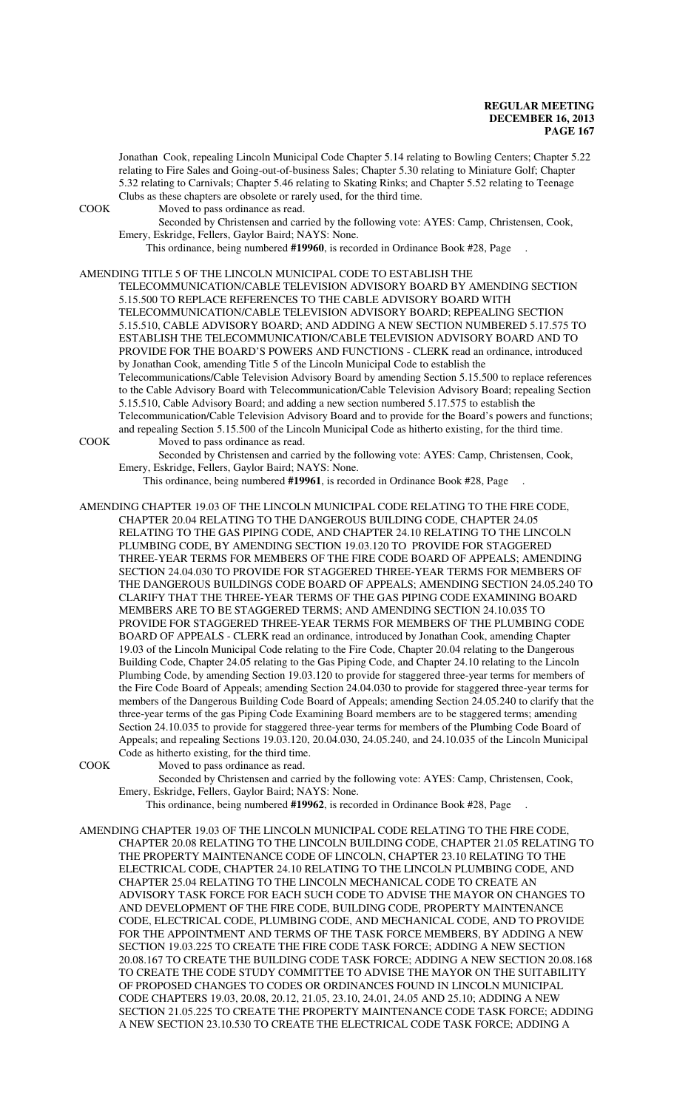Jonathan Cook, repealing Lincoln Municipal Code Chapter 5.14 relating to Bowling Centers; Chapter 5.22 relating to Fire Sales and Going-out-of-business Sales; Chapter 5.30 relating to Miniature Golf; Chapter 5.32 relating to Carnivals; Chapter 5.46 relating to Skating Rinks; and Chapter 5.52 relating to Teenage Clubs as these chapters are obsolete or rarely used, for the third time.

COOK Moved to pass ordinance as read.

Seconded by Christensen and carried by the following vote: AYES: Camp, Christensen, Cook, Emery, Eskridge, Fellers, Gaylor Baird; NAYS: None.

This ordinance, being numbered **#19960**, is recorded in Ordinance Book #28, Page .

#### AMENDING TITLE 5 OF THE LINCOLN MUNICIPAL CODE TO ESTABLISH THE

TELECOMMUNICATION/CABLE TELEVISION ADVISORY BOARD BY AMENDING SECTION 5.15.500 TO REPLACE REFERENCES TO THE CABLE ADVISORY BOARD WITH TELECOMMUNICATION/CABLE TELEVISION ADVISORY BOARD; REPEALING SECTION 5.15.510, CABLE ADVISORY BOARD; AND ADDING A NEW SECTION NUMBERED 5.17.575 TO ESTABLISH THE TELECOMMUNICATION/CABLE TELEVISION ADVISORY BOARD AND TO PROVIDE FOR THE BOARD'S POWERS AND FUNCTIONS - CLERK read an ordinance, introduced by Jonathan Cook, amending Title 5 of the Lincoln Municipal Code to establish the Telecommunications/Cable Television Advisory Board by amending Section 5.15.500 to replace references to the Cable Advisory Board with Telecommunication/Cable Television Advisory Board; repealing Section 5.15.510, Cable Advisory Board; and adding a new section numbered 5.17.575 to establish the Telecommunication/Cable Television Advisory Board and to provide for the Board's powers and functions; and repealing Section 5.15.500 of the Lincoln Municipal Code as hitherto existing, for the third time. COOK Moved to pass ordinance as read.

Seconded by Christensen and carried by the following vote: AYES: Camp, Christensen, Cook, Emery, Eskridge, Fellers, Gaylor Baird; NAYS: None.

This ordinance, being numbered **#19961**, is recorded in Ordinance Book #28, Page .

AMENDING CHAPTER 19.03 OF THE LINCOLN MUNICIPAL CODE RELATING TO THE FIRE CODE, CHAPTER 20.04 RELATING TO THE DANGEROUS BUILDING CODE, CHAPTER 24.05 RELATING TO THE GAS PIPING CODE, AND CHAPTER 24.10 RELATING TO THE LINCOLN PLUMBING CODE, BY AMENDING SECTION 19.03.120 TO PROVIDE FOR STAGGERED THREE-YEAR TERMS FOR MEMBERS OF THE FIRE CODE BOARD OF APPEALS; AMENDING SECTION 24.04.030 TO PROVIDE FOR STAGGERED THREE-YEAR TERMS FOR MEMBERS OF THE DANGEROUS BUILDINGS CODE BOARD OF APPEALS; AMENDING SECTION 24.05.240 TO CLARIFY THAT THE THREE-YEAR TERMS OF THE GAS PIPING CODE EXAMINING BOARD MEMBERS ARE TO BE STAGGERED TERMS; AND AMENDING SECTION 24.10.035 TO PROVIDE FOR STAGGERED THREE-YEAR TERMS FOR MEMBERS OF THE PLUMBING CODE BOARD OF APPEALS - CLERK read an ordinance, introduced by Jonathan Cook, amending Chapter 19.03 of the Lincoln Municipal Code relating to the Fire Code, Chapter 20.04 relating to the Dangerous Building Code, Chapter 24.05 relating to the Gas Piping Code, and Chapter 24.10 relating to the Lincoln Plumbing Code, by amending Section 19.03.120 to provide for staggered three-year terms for members of the Fire Code Board of Appeals; amending Section 24.04.030 to provide for staggered three-year terms for members of the Dangerous Building Code Board of Appeals; amending Section 24.05.240 to clarify that the three-year terms of the gas Piping Code Examining Board members are to be staggered terms; amending Section 24.10.035 to provide for staggered three-year terms for members of the Plumbing Code Board of Appeals; and repealing Sections 19.03.120, 20.04.030, 24.05.240, and 24.10.035 of the Lincoln Municipal Code as hitherto existing, for the third time.

COOK Moved to pass ordinance as read.

Seconded by Christensen and carried by the following vote: AYES: Camp, Christensen, Cook, Emery, Eskridge, Fellers, Gaylor Baird; NAYS: None.

This ordinance, being numbered **#19962**, is recorded in Ordinance Book #28, Page .

AMENDING CHAPTER 19.03 OF THE LINCOLN MUNICIPAL CODE RELATING TO THE FIRE CODE, CHAPTER 20.08 RELATING TO THE LINCOLN BUILDING CODE, CHAPTER 21.05 RELATING TO THE PROPERTY MAINTENANCE CODE OF LINCOLN, CHAPTER 23.10 RELATING TO THE ELECTRICAL CODE, CHAPTER 24.10 RELATING TO THE LINCOLN PLUMBING CODE, AND CHAPTER 25.04 RELATING TO THE LINCOLN MECHANICAL CODE TO CREATE AN ADVISORY TASK FORCE FOR EACH SUCH CODE TO ADVISE THE MAYOR ON CHANGES TO AND DEVELOPMENT OF THE FIRE CODE, BUILDING CODE, PROPERTY MAINTENANCE CODE, ELECTRICAL CODE, PLUMBING CODE, AND MECHANICAL CODE, AND TO PROVIDE FOR THE APPOINTMENT AND TERMS OF THE TASK FORCE MEMBERS, BY ADDING A NEW SECTION 19.03.225 TO CREATE THE FIRE CODE TASK FORCE; ADDING A NEW SECTION 20.08.167 TO CREATE THE BUILDING CODE TASK FORCE; ADDING A NEW SECTION 20.08.168 TO CREATE THE CODE STUDY COMMITTEE TO ADVISE THE MAYOR ON THE SUITABILITY OF PROPOSED CHANGES TO CODES OR ORDINANCES FOUND IN LINCOLN MUNICIPAL CODE CHAPTERS 19.03, 20.08, 20.12, 21.05, 23.10, 24.01, 24.05 AND 25.10; ADDING A NEW SECTION 21.05.225 TO CREATE THE PROPERTY MAINTENANCE CODE TASK FORCE; ADDING A NEW SECTION 23.10.530 TO CREATE THE ELECTRICAL CODE TASK FORCE; ADDING A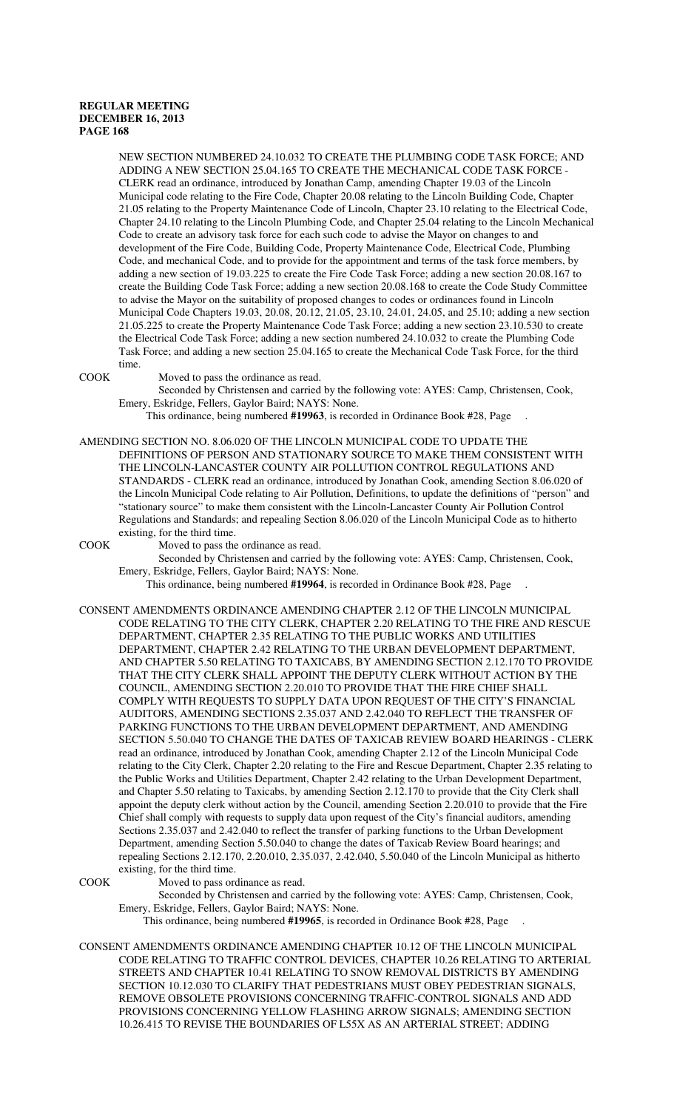NEW SECTION NUMBERED 24.10.032 TO CREATE THE PLUMBING CODE TASK FORCE; AND ADDING A NEW SECTION 25.04.165 TO CREATE THE MECHANICAL CODE TASK FORCE - CLERK read an ordinance, introduced by Jonathan Camp, amending Chapter 19.03 of the Lincoln Municipal code relating to the Fire Code, Chapter 20.08 relating to the Lincoln Building Code, Chapter 21.05 relating to the Property Maintenance Code of Lincoln, Chapter 23.10 relating to the Electrical Code, Chapter 24.10 relating to the Lincoln Plumbing Code, and Chapter 25.04 relating to the Lincoln Mechanical Code to create an advisory task force for each such code to advise the Mayor on changes to and development of the Fire Code, Building Code, Property Maintenance Code, Electrical Code, Plumbing Code, and mechanical Code, and to provide for the appointment and terms of the task force members, by adding a new section of 19.03.225 to create the Fire Code Task Force; adding a new section 20.08.167 to create the Building Code Task Force; adding a new section 20.08.168 to create the Code Study Committee to advise the Mayor on the suitability of proposed changes to codes or ordinances found in Lincoln Municipal Code Chapters 19.03, 20.08, 20.12, 21.05, 23.10, 24.01, 24.05, and 25.10; adding a new section 21.05.225 to create the Property Maintenance Code Task Force; adding a new section 23.10.530 to create the Electrical Code Task Force; adding a new section numbered 24.10.032 to create the Plumbing Code Task Force; and adding a new section 25.04.165 to create the Mechanical Code Task Force, for the third time.

COOK Moved to pass the ordinance as read.

Seconded by Christensen and carried by the following vote: AYES: Camp, Christensen, Cook, Emery, Eskridge, Fellers, Gaylor Baird; NAYS: None.

This ordinance, being numbered **#19963**, is recorded in Ordinance Book #28, Page .

AMENDING SECTION NO. 8.06.020 OF THE LINCOLN MUNICIPAL CODE TO UPDATE THE DEFINITIONS OF PERSON AND STATIONARY SOURCE TO MAKE THEM CONSISTENT WITH THE LINCOLN-LANCASTER COUNTY AIR POLLUTION CONTROL REGULATIONS AND STANDARDS - CLERK read an ordinance, introduced by Jonathan Cook, amending Section 8.06.020 of the Lincoln Municipal Code relating to Air Pollution, Definitions, to update the definitions of "person" and "stationary source" to make them consistent with the Lincoln-Lancaster County Air Pollution Control Regulations and Standards; and repealing Section 8.06.020 of the Lincoln Municipal Code as to hitherto existing, for the third time.

COOK Moved to pass the ordinance as read.

Seconded by Christensen and carried by the following vote: AYES: Camp, Christensen, Cook, Emery, Eskridge, Fellers, Gaylor Baird; NAYS: None.

This ordinance, being numbered **#19964**, is recorded in Ordinance Book #28, Page .

CONSENT AMENDMENTS ORDINANCE AMENDING CHAPTER 2.12 OF THE LINCOLN MUNICIPAL CODE RELATING TO THE CITY CLERK, CHAPTER 2.20 RELATING TO THE FIRE AND RESCUE DEPARTMENT, CHAPTER 2.35 RELATING TO THE PUBLIC WORKS AND UTILITIES DEPARTMENT, CHAPTER 2.42 RELATING TO THE URBAN DEVELOPMENT DEPARTMENT, AND CHAPTER 5.50 RELATING TO TAXICABS, BY AMENDING SECTION 2.12.170 TO PROVIDE THAT THE CITY CLERK SHALL APPOINT THE DEPUTY CLERK WITHOUT ACTION BY THE COUNCIL, AMENDING SECTION 2.20.010 TO PROVIDE THAT THE FIRE CHIEF SHALL COMPLY WITH REQUESTS TO SUPPLY DATA UPON REQUEST OF THE CITY'S FINANCIAL AUDITORS, AMENDING SECTIONS 2.35.037 AND 2.42.040 TO REFLECT THE TRANSFER OF PARKING FUNCTIONS TO THE URBAN DEVELOPMENT DEPARTMENT, AND AMENDING SECTION 5.50.040 TO CHANGE THE DATES OF TAXICAB REVIEW BOARD HEARINGS - CLERK read an ordinance, introduced by Jonathan Cook, amending Chapter 2.12 of the Lincoln Municipal Code relating to the City Clerk, Chapter 2.20 relating to the Fire and Rescue Department, Chapter 2.35 relating to the Public Works and Utilities Department, Chapter 2.42 relating to the Urban Development Department, and Chapter 5.50 relating to Taxicabs, by amending Section 2.12.170 to provide that the City Clerk shall appoint the deputy clerk without action by the Council, amending Section 2.20.010 to provide that the Fire Chief shall comply with requests to supply data upon request of the City's financial auditors, amending Sections 2.35.037 and 2.42.040 to reflect the transfer of parking functions to the Urban Development Department, amending Section 5.50.040 to change the dates of Taxicab Review Board hearings; and repealing Sections 2.12.170, 2.20.010, 2.35.037, 2.42.040, 5.50.040 of the Lincoln Municipal as hitherto existing, for the third time.

COOK Moved to pass ordinance as read.

Seconded by Christensen and carried by the following vote: AYES: Camp, Christensen, Cook, Emery, Eskridge, Fellers, Gaylor Baird; NAYS: None.

This ordinance, being numbered **#19965**, is recorded in Ordinance Book #28, Page .

CONSENT AMENDMENTS ORDINANCE AMENDING CHAPTER 10.12 OF THE LINCOLN MUNICIPAL CODE RELATING TO TRAFFIC CONTROL DEVICES, CHAPTER 10.26 RELATING TO ARTERIAL STREETS AND CHAPTER 10.41 RELATING TO SNOW REMOVAL DISTRICTS BY AMENDING SECTION 10.12.030 TO CLARIFY THAT PEDESTRIANS MUST OBEY PEDESTRIAN SIGNALS, REMOVE OBSOLETE PROVISIONS CONCERNING TRAFFIC-CONTROL SIGNALS AND ADD PROVISIONS CONCERNING YELLOW FLASHING ARROW SIGNALS; AMENDING SECTION 10.26.415 TO REVISE THE BOUNDARIES OF L55X AS AN ARTERIAL STREET; ADDING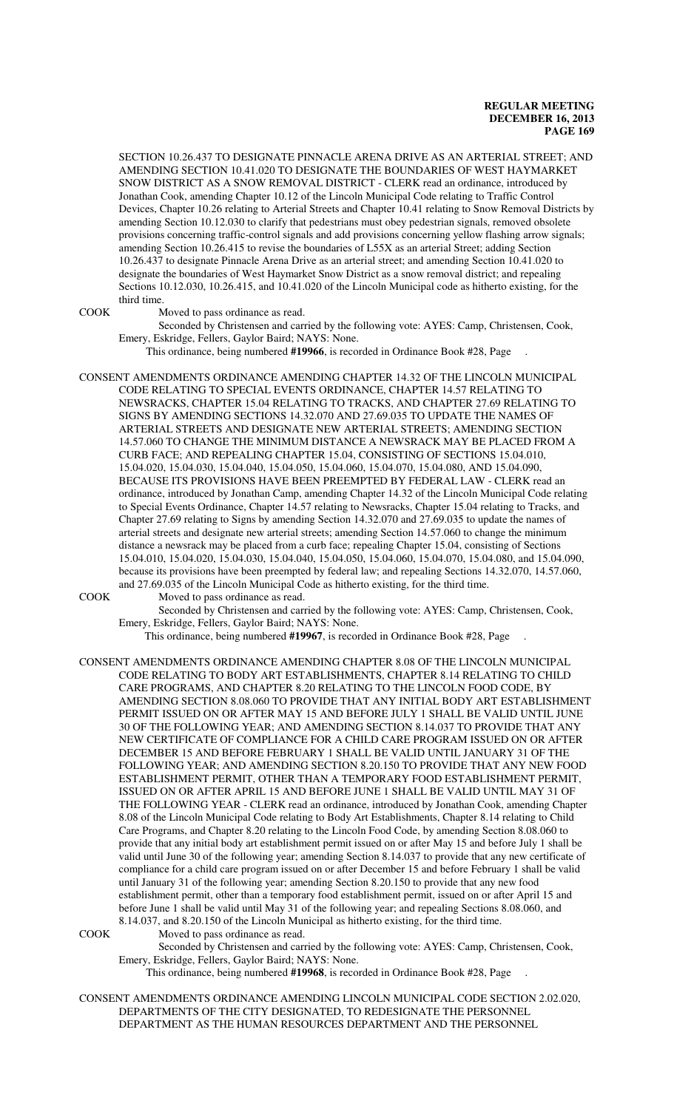SECTION 10.26.437 TO DESIGNATE PINNACLE ARENA DRIVE AS AN ARTERIAL STREET; AND AMENDING SECTION 10.41.020 TO DESIGNATE THE BOUNDARIES OF WEST HAYMARKET SNOW DISTRICT AS A SNOW REMOVAL DISTRICT - CLERK read an ordinance, introduced by Jonathan Cook, amending Chapter 10.12 of the Lincoln Municipal Code relating to Traffic Control Devices, Chapter 10.26 relating to Arterial Streets and Chapter 10.41 relating to Snow Removal Districts by amending Section 10.12.030 to clarify that pedestrians must obey pedestrian signals, removed obsolete provisions concerning traffic-control signals and add provisions concerning yellow flashing arrow signals; amending Section 10.26.415 to revise the boundaries of L55X as an arterial Street; adding Section 10.26.437 to designate Pinnacle Arena Drive as an arterial street; and amending Section 10.41.020 to designate the boundaries of West Haymarket Snow District as a snow removal district; and repealing Sections 10.12.030, 10.26.415, and 10.41.020 of the Lincoln Municipal code as hitherto existing, for the third time.

COOK Moved to pass ordinance as read.

Seconded by Christensen and carried by the following vote: AYES: Camp, Christensen, Cook, Emery, Eskridge, Fellers, Gaylor Baird; NAYS: None.

This ordinance, being numbered **#19966**, is recorded in Ordinance Book #28, Page .

CONSENT AMENDMENTS ORDINANCE AMENDING CHAPTER 14.32 OF THE LINCOLN MUNICIPAL CODE RELATING TO SPECIAL EVENTS ORDINANCE, CHAPTER 14.57 RELATING TO NEWSRACKS, CHAPTER 15.04 RELATING TO TRACKS, AND CHAPTER 27.69 RELATING TO SIGNS BY AMENDING SECTIONS 14.32.070 AND 27.69.035 TO UPDATE THE NAMES OF ARTERIAL STREETS AND DESIGNATE NEW ARTERIAL STREETS; AMENDING SECTION 14.57.060 TO CHANGE THE MINIMUM DISTANCE A NEWSRACK MAY BE PLACED FROM A CURB FACE; AND REPEALING CHAPTER 15.04, CONSISTING OF SECTIONS 15.04.010, 15.04.020, 15.04.030, 15.04.040, 15.04.050, 15.04.060, 15.04.070, 15.04.080, AND 15.04.090, BECAUSE ITS PROVISIONS HAVE BEEN PREEMPTED BY FEDERAL LAW - CLERK read an ordinance, introduced by Jonathan Camp, amending Chapter 14.32 of the Lincoln Municipal Code relating to Special Events Ordinance, Chapter 14.57 relating to Newsracks, Chapter 15.04 relating to Tracks, and Chapter 27.69 relating to Signs by amending Section 14.32.070 and 27.69.035 to update the names of arterial streets and designate new arterial streets; amending Section 14.57.060 to change the minimum distance a newsrack may be placed from a curb face; repealing Chapter 15.04, consisting of Sections 15.04.010, 15.04.020, 15.04.030, 15.04.040, 15.04.050, 15.04.060, 15.04.070, 15.04.080, and 15.04.090, because its provisions have been preempted by federal law; and repealing Sections 14.32.070, 14.57.060, and 27.69.035 of the Lincoln Municipal Code as hitherto existing, for the third time.

COOK Moved to pass ordinance as read.

Seconded by Christensen and carried by the following vote: AYES: Camp, Christensen, Cook, Emery, Eskridge, Fellers, Gaylor Baird; NAYS: None.

This ordinance, being numbered **#19967**, is recorded in Ordinance Book #28, Page .

CONSENT AMENDMENTS ORDINANCE AMENDING CHAPTER 8.08 OF THE LINCOLN MUNICIPAL CODE RELATING TO BODY ART ESTABLISHMENTS, CHAPTER 8.14 RELATING TO CHILD CARE PROGRAMS, AND CHAPTER 8.20 RELATING TO THE LINCOLN FOOD CODE, BY AMENDING SECTION 8.08.060 TO PROVIDE THAT ANY INITIAL BODY ART ESTABLISHMENT PERMIT ISSUED ON OR AFTER MAY 15 AND BEFORE JULY 1 SHALL BE VALID UNTIL JUNE 30 OF THE FOLLOWING YEAR; AND AMENDING SECTION 8.14.037 TO PROVIDE THAT ANY NEW CERTIFICATE OF COMPLIANCE FOR A CHILD CARE PROGRAM ISSUED ON OR AFTER DECEMBER 15 AND BEFORE FEBRUARY 1 SHALL BE VALID UNTIL JANUARY 31 OF THE FOLLOWING YEAR; AND AMENDING SECTION 8.20.150 TO PROVIDE THAT ANY NEW FOOD ESTABLISHMENT PERMIT, OTHER THAN A TEMPORARY FOOD ESTABLISHMENT PERMIT, ISSUED ON OR AFTER APRIL 15 AND BEFORE JUNE 1 SHALL BE VALID UNTIL MAY 31 OF THE FOLLOWING YEAR - CLERK read an ordinance, introduced by Jonathan Cook, amending Chapter 8.08 of the Lincoln Municipal Code relating to Body Art Establishments, Chapter 8.14 relating to Child Care Programs, and Chapter 8.20 relating to the Lincoln Food Code, by amending Section 8.08.060 to provide that any initial body art establishment permit issued on or after May 15 and before July 1 shall be valid until June 30 of the following year; amending Section 8.14.037 to provide that any new certificate of compliance for a child care program issued on or after December 15 and before February 1 shall be valid until January 31 of the following year; amending Section 8.20.150 to provide that any new food establishment permit, other than a temporary food establishment permit, issued on or after April 15 and before June 1 shall be valid until May 31 of the following year; and repealing Sections 8.08.060, and 8.14.037, and 8.20.150 of the Lincoln Municipal as hitherto existing, for the third time.

COOK Moved to pass ordinance as read.

Seconded by Christensen and carried by the following vote: AYES: Camp, Christensen, Cook, Emery, Eskridge, Fellers, Gaylor Baird; NAYS: None.

This ordinance, being numbered **#19968**, is recorded in Ordinance Book #28, Page .

CONSENT AMENDMENTS ORDINANCE AMENDING LINCOLN MUNICIPAL CODE SECTION 2.02.020, DEPARTMENTS OF THE CITY DESIGNATED, TO REDESIGNATE THE PERSONNEL DEPARTMENT AS THE HUMAN RESOURCES DEPARTMENT AND THE PERSONNEL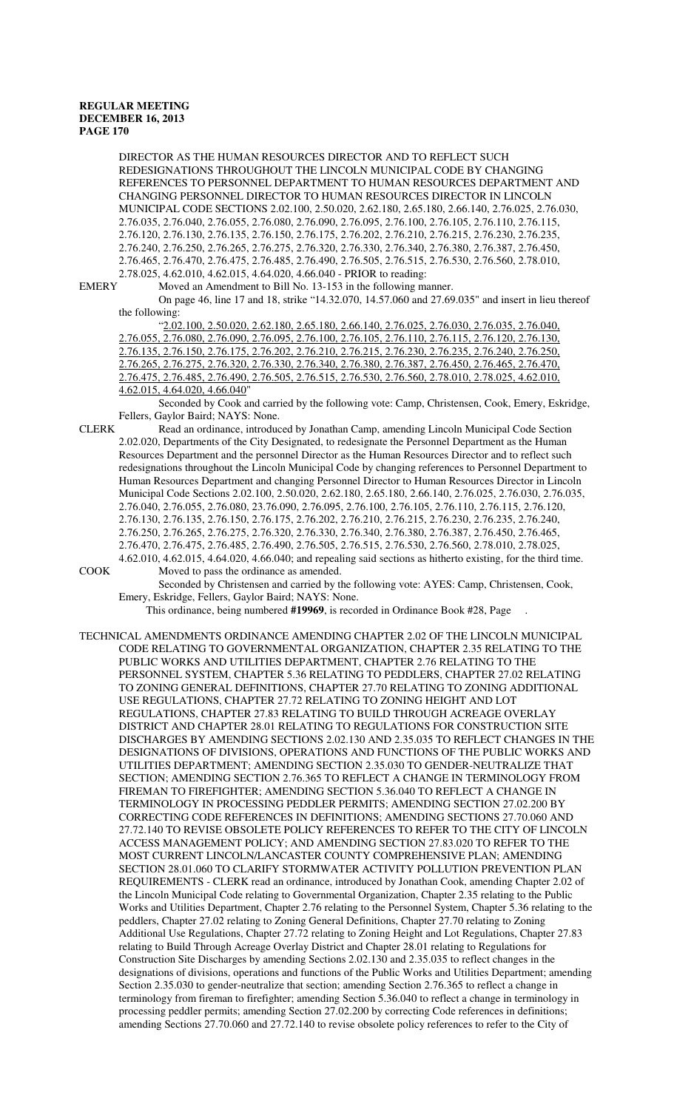DIRECTOR AS THE HUMAN RESOURCES DIRECTOR AND TO REFLECT SUCH REDESIGNATIONS THROUGHOUT THE LINCOLN MUNICIPAL CODE BY CHANGING REFERENCES TO PERSONNEL DEPARTMENT TO HUMAN RESOURCES DEPARTMENT AND CHANGING PERSONNEL DIRECTOR TO HUMAN RESOURCES DIRECTOR IN LINCOLN MUNICIPAL CODE SECTIONS 2.02.100, 2.50.020, 2.62.180, 2.65.180, 2.66.140, 2.76.025, 2.76.030, 2.76.035, 2.76.040, 2.76.055, 2.76.080, 2.76.090, 2.76.095, 2.76.100, 2.76.105, 2.76.110, 2.76.115, 2.76.120, 2.76.130, 2.76.135, 2.76.150, 2.76.175, 2.76.202, 2.76.210, 2.76.215, 2.76.230, 2.76.235, 2.76.240, 2.76.250, 2.76.265, 2.76.275, 2.76.320, 2.76.330, 2.76.340, 2.76.380, 2.76.387, 2.76.450, 2.76.465, 2.76.470, 2.76.475, 2.76.485, 2.76.490, 2.76.505, 2.76.515, 2.76.530, 2.76.560, 2.78.010,

2.78.025, 4.62.010, 4.62.015, 4.64.020, 4.66.040 - PRIOR to reading:<br>EMERY Moved an Amendment to Bill No. 13-153 in the following m Moved an Amendment to Bill No. 13-153 in the following manner.

On page 46, line 17 and 18, strike "14.32.070, 14.57.060 and 27.69.035" and insert in lieu thereof the following:

"2.02.100, 2.50.020, 2.62.180, 2.65.180, 2.66.140, 2.76.025, 2.76.030, 2.76.035, 2.76.040, 2.76.055, 2.76.080, 2.76.090, 2.76.095, 2.76.100, 2.76.105, 2.76.110, 2.76.115, 2.76.120, 2.76.130, 2.76.135, 2.76.150, 2.76.175, 2.76.202, 2.76.210, 2.76.215, 2.76.230, 2.76.235, 2.76.240, 2.76.250, 2.76.265, 2.76.275, 2.76.320, 2.76.330, 2.76.340, 2.76.380, 2.76.387, 2.76.450, 2.76.465, 2.76.470, 2.76.475, 2.76.485, 2.76.490, 2.76.505, 2.76.515, 2.76.530, 2.76.560, 2.78.010, 2.78.025, 4.62.010, 4.62.015, 4.64.020, 4.66.040"

Seconded by Cook and carried by the following vote: Camp, Christensen, Cook, Emery, Eskridge, Fellers, Gaylor Baird; NAYS: None.

CLERK Read an ordinance, introduced by Jonathan Camp, amending Lincoln Municipal Code Section 2.02.020, Departments of the City Designated, to redesignate the Personnel Department as the Human Resources Department and the personnel Director as the Human Resources Director and to reflect such redesignations throughout the Lincoln Municipal Code by changing references to Personnel Department to Human Resources Department and changing Personnel Director to Human Resources Director in Lincoln Municipal Code Sections 2.02.100, 2.50.020, 2.62.180, 2.65.180, 2.66.140, 2.76.025, 2.76.030, 2.76.035, 2.76.040, 2.76.055, 2.76.080, 23.76.090, 2.76.095, 2.76.100, 2.76.105, 2.76.110, 2.76.115, 2.76.120, 2.76.130, 2.76.135, 2.76.150, 2.76.175, 2.76.202, 2.76.210, 2.76.215, 2.76.230, 2.76.235, 2.76.240, 2.76.250, 2.76.265, 2.76.275, 2.76.320, 2.76.330, 2.76.340, 2.76.380, 2.76.387, 2.76.450, 2.76.465, 2.76.470, 2.76.475, 2.76.485, 2.76.490, 2.76.505, 2.76.515, 2.76.530, 2.76.560, 2.78.010, 2.78.025,

4.62.010, 4.62.015, 4.64.020, 4.66.040; and repealing said sections as hitherto existing, for the third time. COOK Moved to pass the ordinance as amended.

Seconded by Christensen and carried by the following vote: AYES: Camp, Christensen, Cook, Emery, Eskridge, Fellers, Gaylor Baird; NAYS: None.

This ordinance, being numbered **#19969**, is recorded in Ordinance Book #28, Page .

TECHNICAL AMENDMENTS ORDINANCE AMENDING CHAPTER 2.02 OF THE LINCOLN MUNICIPAL CODE RELATING TO GOVERNMENTAL ORGANIZATION, CHAPTER 2.35 RELATING TO THE PUBLIC WORKS AND UTILITIES DEPARTMENT, CHAPTER 2.76 RELATING TO THE PERSONNEL SYSTEM, CHAPTER 5.36 RELATING TO PEDDLERS, CHAPTER 27.02 RELATING TO ZONING GENERAL DEFINITIONS, CHAPTER 27.70 RELATING TO ZONING ADDITIONAL USE REGULATIONS, CHAPTER 27.72 RELATING TO ZONING HEIGHT AND LOT REGULATIONS, CHAPTER 27.83 RELATING TO BUILD THROUGH ACREAGE OVERLAY DISTRICT AND CHAPTER 28.01 RELATING TO REGULATIONS FOR CONSTRUCTION SITE DISCHARGES BY AMENDING SECTIONS 2.02.130 AND 2.35.035 TO REFLECT CHANGES IN THE DESIGNATIONS OF DIVISIONS, OPERATIONS AND FUNCTIONS OF THE PUBLIC WORKS AND UTILITIES DEPARTMENT; AMENDING SECTION 2.35.030 TO GENDER-NEUTRALIZE THAT SECTION; AMENDING SECTION 2.76.365 TO REFLECT A CHANGE IN TERMINOLOGY FROM FIREMAN TO FIREFIGHTER; AMENDING SECTION 5.36.040 TO REFLECT A CHANGE IN TERMINOLOGY IN PROCESSING PEDDLER PERMITS; AMENDING SECTION 27.02.200 BY CORRECTING CODE REFERENCES IN DEFINITIONS; AMENDING SECTIONS 27.70.060 AND 27.72.140 TO REVISE OBSOLETE POLICY REFERENCES TO REFER TO THE CITY OF LINCOLN ACCESS MANAGEMENT POLICY; AND AMENDING SECTION 27.83.020 TO REFER TO THE MOST CURRENT LINCOLN/LANCASTER COUNTY COMPREHENSIVE PLAN; AMENDING SECTION 28.01.060 TO CLARIFY STORMWATER ACTIVITY POLLUTION PREVENTION PLAN REQUIREMENTS - CLERK read an ordinance, introduced by Jonathan Cook, amending Chapter 2.02 of the Lincoln Municipal Code relating to Governmental Organization, Chapter 2.35 relating to the Public Works and Utilities Department, Chapter 2.76 relating to the Personnel System, Chapter 5.36 relating to the peddlers, Chapter 27.02 relating to Zoning General Definitions, Chapter 27.70 relating to Zoning Additional Use Regulations, Chapter 27.72 relating to Zoning Height and Lot Regulations, Chapter 27.83 relating to Build Through Acreage Overlay District and Chapter 28.01 relating to Regulations for Construction Site Discharges by amending Sections 2.02.130 and 2.35.035 to reflect changes in the designations of divisions, operations and functions of the Public Works and Utilities Department; amending Section 2.35.030 to gender-neutralize that section; amending Section 2.76.365 to reflect a change in terminology from fireman to firefighter; amending Section 5.36.040 to reflect a change in terminology in processing peddler permits; amending Section 27.02.200 by correcting Code references in definitions; amending Sections 27.70.060 and 27.72.140 to revise obsolete policy references to refer to the City of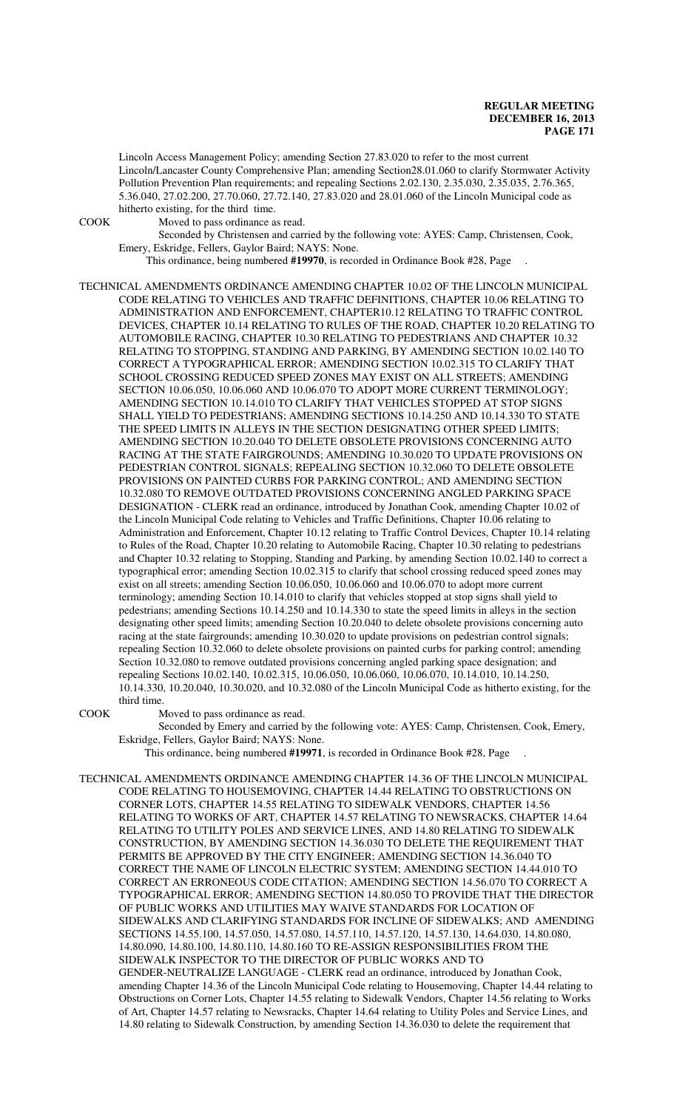Lincoln Access Management Policy; amending Section 27.83.020 to refer to the most current Lincoln/Lancaster County Comprehensive Plan; amending Section28.01.060 to clarify Stormwater Activity Pollution Prevention Plan requirements; and repealing Sections 2.02.130, 2.35.030, 2.35.035, 2.76.365, 5.36.040, 27.02.200, 27.70.060, 27.72.140, 27.83.020 and 28.01.060 of the Lincoln Municipal code as hitherto existing, for the third time.

COOK Moved to pass ordinance as read.

Seconded by Christensen and carried by the following vote: AYES: Camp, Christensen, Cook, Emery, Eskridge, Fellers, Gaylor Baird; NAYS: None.

This ordinance, being numbered **#19970**, is recorded in Ordinance Book #28, Page .

TECHNICAL AMENDMENTS ORDINANCE AMENDING CHAPTER 10.02 OF THE LINCOLN MUNICIPAL CODE RELATING TO VEHICLES AND TRAFFIC DEFINITIONS, CHAPTER 10.06 RELATING TO ADMINISTRATION AND ENFORCEMENT, CHAPTER10.12 RELATING TO TRAFFIC CONTROL DEVICES, CHAPTER 10.14 RELATING TO RULES OF THE ROAD, CHAPTER 10.20 RELATING TO AUTOMOBILE RACING, CHAPTER 10.30 RELATING TO PEDESTRIANS AND CHAPTER 10.32 RELATING TO STOPPING, STANDING AND PARKING, BY AMENDING SECTION 10.02.140 TO CORRECT A TYPOGRAPHICAL ERROR; AMENDING SECTION 10.02.315 TO CLARIFY THAT SCHOOL CROSSING REDUCED SPEED ZONES MAY EXIST ON ALL STREETS; AMENDING SECTION 10.06.050, 10.06.060 AND 10.06.070 TO ADOPT MORE CURRENT TERMINOLOGY; AMENDING SECTION 10.14.010 TO CLARIFY THAT VEHICLES STOPPED AT STOP SIGNS SHALL YIELD TO PEDESTRIANS; AMENDING SECTIONS 10.14.250 AND 10.14.330 TO STATE THE SPEED LIMITS IN ALLEYS IN THE SECTION DESIGNATING OTHER SPEED LIMITS; AMENDING SECTION 10.20.040 TO DELETE OBSOLETE PROVISIONS CONCERNING AUTO RACING AT THE STATE FAIRGROUNDS; AMENDING 10.30.020 TO UPDATE PROVISIONS ON PEDESTRIAN CONTROL SIGNALS; REPEALING SECTION 10.32.060 TO DELETE OBSOLETE PROVISIONS ON PAINTED CURBS FOR PARKING CONTROL; AND AMENDING SECTION 10.32.080 TO REMOVE OUTDATED PROVISIONS CONCERNING ANGLED PARKING SPACE DESIGNATION - CLERK read an ordinance, introduced by Jonathan Cook, amending Chapter 10.02 of the Lincoln Municipal Code relating to Vehicles and Traffic Definitions, Chapter 10.06 relating to Administration and Enforcement, Chapter 10.12 relating to Traffic Control Devices, Chapter 10.14 relating to Rules of the Road, Chapter 10.20 relating to Automobile Racing, Chapter 10.30 relating to pedestrians and Chapter 10.32 relating to Stopping, Standing and Parking, by amending Section 10.02.140 to correct a typographical error; amending Section 10.02.315 to clarify that school crossing reduced speed zones may exist on all streets; amending Section 10.06.050, 10.06.060 and 10.06.070 to adopt more current terminology; amending Section 10.14.010 to clarify that vehicles stopped at stop signs shall yield to pedestrians; amending Sections 10.14.250 and 10.14.330 to state the speed limits in alleys in the section designating other speed limits; amending Section 10.20.040 to delete obsolete provisions concerning auto racing at the state fairgrounds; amending 10.30.020 to update provisions on pedestrian control signals; repealing Section 10.32.060 to delete obsolete provisions on painted curbs for parking control; amending Section 10.32.080 to remove outdated provisions concerning angled parking space designation; and repealing Sections 10.02.140, 10.02.315, 10.06.050, 10.06.060, 10.06.070, 10.14.010, 10.14.250, 10.14.330, 10.20.040, 10.30.020, and 10.32.080 of the Lincoln Municipal Code as hitherto existing, for the third time.

COOK Moved to pass ordinance as read.

Seconded by Emery and carried by the following vote: AYES: Camp, Christensen, Cook, Emery, Eskridge, Fellers, Gaylor Baird; NAYS: None.

This ordinance, being numbered **#19971**, is recorded in Ordinance Book #28, Page .

TECHNICAL AMENDMENTS ORDINANCE AMENDING CHAPTER 14.36 OF THE LINCOLN MUNICIPAL CODE RELATING TO HOUSEMOVING, CHAPTER 14.44 RELATING TO OBSTRUCTIONS ON CORNER LOTS, CHAPTER 14.55 RELATING TO SIDEWALK VENDORS, CHAPTER 14.56 RELATING TO WORKS OF ART, CHAPTER 14.57 RELATING TO NEWSRACKS, CHAPTER 14.64 RELATING TO UTILITY POLES AND SERVICE LINES, AND 14.80 RELATING TO SIDEWALK CONSTRUCTION, BY AMENDING SECTION 14.36.030 TO DELETE THE REQUIREMENT THAT PERMITS BE APPROVED BY THE CITY ENGINEER; AMENDING SECTION 14.36.040 TO CORRECT THE NAME OF LINCOLN ELECTRIC SYSTEM; AMENDING SECTION 14.44.010 TO CORRECT AN ERRONEOUS CODE CITATION; AMENDING SECTION 14.56.070 TO CORRECT A TYPOGRAPHICAL ERROR; AMENDING SECTION 14.80.050 TO PROVIDE THAT THE DIRECTOR OF PUBLIC WORKS AND UTILITIES MAY WAIVE STANDARDS FOR LOCATION OF SIDEWALKS AND CLARIFYING STANDARDS FOR INCLINE OF SIDEWALKS; AND AMENDING SECTIONS 14.55.100, 14.57.050, 14.57.080, 14.57.110, 14.57.120, 14.57.130, 14.64.030, 14.80.080, 14.80.090, 14.80.100, 14.80.110, 14.80.160 TO RE-ASSIGN RESPONSIBILITIES FROM THE SIDEWALK INSPECTOR TO THE DIRECTOR OF PUBLIC WORKS AND TO GENDER-NEUTRALIZE LANGUAGE - CLERK read an ordinance, introduced by Jonathan Cook, amending Chapter 14.36 of the Lincoln Municipal Code relating to Housemoving, Chapter 14.44 relating to Obstructions on Corner Lots, Chapter 14.55 relating to Sidewalk Vendors, Chapter 14.56 relating to Works of Art, Chapter 14.57 relating to Newsracks, Chapter 14.64 relating to Utility Poles and Service Lines, and 14.80 relating to Sidewalk Construction, by amending Section 14.36.030 to delete the requirement that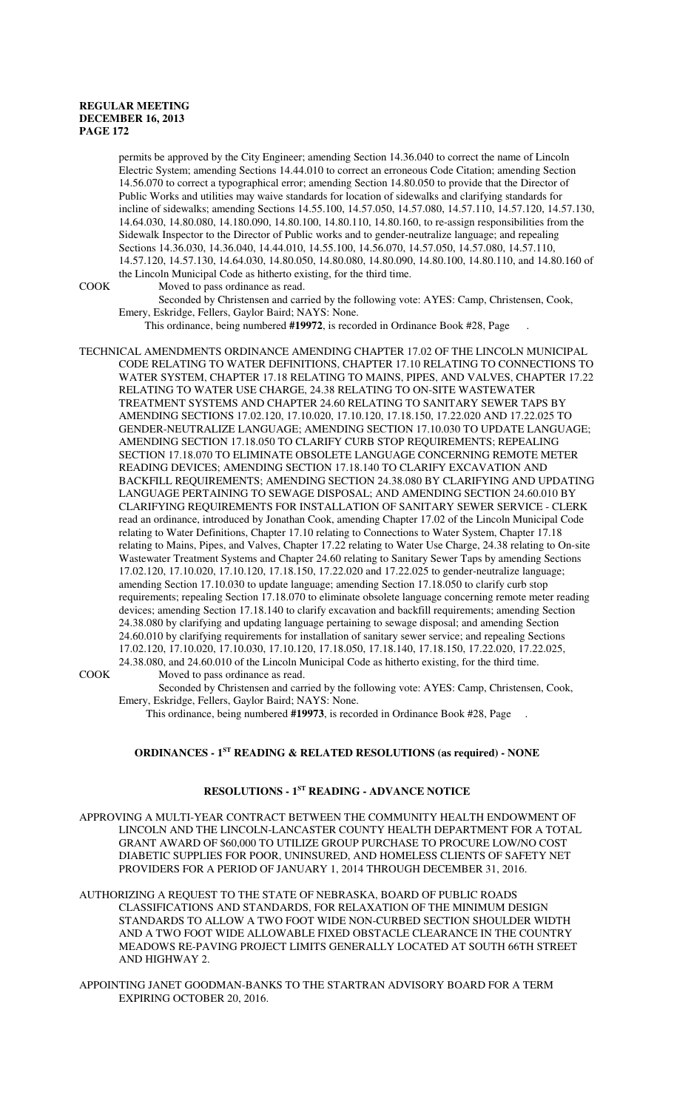permits be approved by the City Engineer; amending Section 14.36.040 to correct the name of Lincoln Electric System; amending Sections 14.44.010 to correct an erroneous Code Citation; amending Section 14.56.070 to correct a typographical error; amending Section 14.80.050 to provide that the Director of Public Works and utilities may waive standards for location of sidewalks and clarifying standards for incline of sidewalks; amending Sections 14.55.100, 14.57.050, 14.57.080, 14.57.110, 14.57.120, 14.57.130, 14.64.030, 14.80.080, 14.180.090, 14.80.100, 14.80.110, 14.80.160, to re-assign responsibilities from the Sidewalk Inspector to the Director of Public works and to gender-neutralize language; and repealing Sections 14.36.030, 14.36.040, 14.44.010, 14.55.100, 14.56.070, 14.57.050, 14.57.080, 14.57.110, 14.57.120, 14.57.130, 14.64.030, 14.80.050, 14.80.080, 14.80.090, 14.80.100, 14.80.110, and 14.80.160 of the Lincoln Municipal Code as hitherto existing, for the third time.

COOK Moved to pass ordinance as read.

Seconded by Christensen and carried by the following vote: AYES: Camp, Christensen, Cook, Emery, Eskridge, Fellers, Gaylor Baird; NAYS: None.

This ordinance, being numbered **#19972**, is recorded in Ordinance Book #28, Page .

TECHNICAL AMENDMENTS ORDINANCE AMENDING CHAPTER 17.02 OF THE LINCOLN MUNICIPAL CODE RELATING TO WATER DEFINITIONS, CHAPTER 17.10 RELATING TO CONNECTIONS TO WATER SYSTEM, CHAPTER 17.18 RELATING TO MAINS, PIPES, AND VALVES, CHAPTER 17.22 RELATING TO WATER USE CHARGE, 24.38 RELATING TO ON-SITE WASTEWATER TREATMENT SYSTEMS AND CHAPTER 24.60 RELATING TO SANITARY SEWER TAPS BY AMENDING SECTIONS 17.02.120, 17.10.020, 17.10.120, 17.18.150, 17.22.020 AND 17.22.025 TO GENDER-NEUTRALIZE LANGUAGE; AMENDING SECTION 17.10.030 TO UPDATE LANGUAGE; AMENDING SECTION 17.18.050 TO CLARIFY CURB STOP REQUIREMENTS; REPEALING SECTION 17.18.070 TO ELIMINATE OBSOLETE LANGUAGE CONCERNING REMOTE METER READING DEVICES; AMENDING SECTION 17.18.140 TO CLARIFY EXCAVATION AND BACKFILL REQUIREMENTS; AMENDING SECTION 24.38.080 BY CLARIFYING AND UPDATING LANGUAGE PERTAINING TO SEWAGE DISPOSAL; AND AMENDING SECTION 24.60.010 BY CLARIFYING REQUIREMENTS FOR INSTALLATION OF SANITARY SEWER SERVICE - CLERK read an ordinance, introduced by Jonathan Cook, amending Chapter 17.02 of the Lincoln Municipal Code relating to Water Definitions, Chapter 17.10 relating to Connections to Water System, Chapter 17.18 relating to Mains, Pipes, and Valves, Chapter 17.22 relating to Water Use Charge, 24.38 relating to On-site Wastewater Treatment Systems and Chapter 24.60 relating to Sanitary Sewer Taps by amending Sections 17.02.120, 17.10.020, 17.10.120, 17.18.150, 17.22.020 and 17.22.025 to gender-neutralize language; amending Section 17.10.030 to update language; amending Section 17.18.050 to clarify curb stop requirements; repealing Section 17.18.070 to eliminate obsolete language concerning remote meter reading devices; amending Section 17.18.140 to clarify excavation and backfill requirements; amending Section 24.38.080 by clarifying and updating language pertaining to sewage disposal; and amending Section 24.60.010 by clarifying requirements for installation of sanitary sewer service; and repealing Sections 17.02.120, 17.10.020, 17.10.030, 17.10.120, 17.18.050, 17.18.140, 17.18.150, 17.22.020, 17.22.025, 24.38.080, and 24.60.010 of the Lincoln Municipal Code as hitherto existing, for the third time. COOK Moved to pass ordinance as read.

Seconded by Christensen and carried by the following vote: AYES: Camp, Christensen, Cook, Emery, Eskridge, Fellers, Gaylor Baird; NAYS: None.

This ordinance, being numbered **#19973**, is recorded in Ordinance Book #28, Page .

#### **ORDINANCES - 1ST READING & RELATED RESOLUTIONS (as required) - NONE**

# **RESOLUTIONS - 1ST READING - ADVANCE NOTICE**

APPROVING A MULTI-YEAR CONTRACT BETWEEN THE COMMUNITY HEALTH ENDOWMENT OF LINCOLN AND THE LINCOLN-LANCASTER COUNTY HEALTH DEPARTMENT FOR A TOTAL GRANT AWARD OF \$60,000 TO UTILIZE GROUP PURCHASE TO PROCURE LOW/NO COST DIABETIC SUPPLIES FOR POOR, UNINSURED, AND HOMELESS CLIENTS OF SAFETY NET PROVIDERS FOR A PERIOD OF JANUARY 1, 2014 THROUGH DECEMBER 31, 2016.

AUTHORIZING A REQUEST TO THE STATE OF NEBRASKA, BOARD OF PUBLIC ROADS CLASSIFICATIONS AND STANDARDS, FOR RELAXATION OF THE MINIMUM DESIGN STANDARDS TO ALLOW A TWO FOOT WIDE NON-CURBED SECTION SHOULDER WIDTH AND A TWO FOOT WIDE ALLOWABLE FIXED OBSTACLE CLEARANCE IN THE COUNTRY MEADOWS RE-PAVING PROJECT LIMITS GENERALLY LOCATED AT SOUTH 66TH STREET AND HIGHWAY 2.

APPOINTING JANET GOODMAN-BANKS TO THE STARTRAN ADVISORY BOARD FOR A TERM EXPIRING OCTOBER 20, 2016.